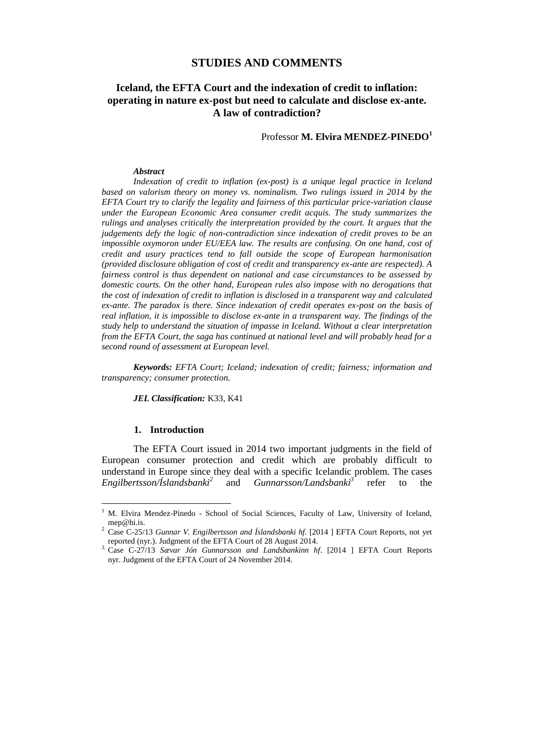# **STUDIES AND COMMENTS**

# **Iceland, the EFTA Court and the indexation of credit to inflation: operating in nature ex-post but need to calculate and disclose ex-ante. A law of contradiction?**

Professor **M. Elvira MENDEZ-PINEDO<sup>1</sup>**

#### *Abstract*

*Indexation of credit to inflation (ex-post) is a unique legal practice in Iceland based on valorism theory on money vs. nominalism. Two rulings issued in 2014 by the EFTA Court try to clarify the legality and fairness of this particular price-variation clause under the European Economic Area consumer credit acquis. The study summarizes the rulings and analyses critically the interpretation provided by the court. It argues that the judgements defy the logic of non-contradiction since indexation of credit proves to be an impossible oxymoron under EU/EEA law. The results are confusing. On one hand, cost of credit and usury practices tend to fall outside the scope of European harmonisation (provided disclosure obligation of cost of credit and transparency ex-ante are respected). A fairness control is thus dependent on national and case circumstances to be assessed by domestic courts. On the other hand, European rules also impose with no derogations that the cost of indexation of credit to inflation is disclosed in a transparent way and calculated ex-ante. The paradox is there. Since indexation of credit operates ex-post on the basis of real inflation, it is impossible to disclose ex-ante in a transparent way. The findings of the study help to understand the situation of impasse in Iceland. Without a clear interpretation from the EFTA Court, the saga has continued at national level and will probably head for a second round of assessment at European level.*

*Keywords: EFTA Court; Iceland; indexation of credit; fairness; information and transparency; consumer protection.*

*JEL Classification:* K33, K41

#### **1. Introduction**

 $\overline{a}$ 

The EFTA Court issued in 2014 two important judgments in the field of European consumer protection and credit which are probably difficult to understand in Europe since they deal with a specific Icelandic problem. The cases *Engilbertsson/Íslandsbanki<sup>2</sup>* and *Gunnarsson/Landsbanki<sup>3</sup>* refer to the

<sup>&</sup>lt;sup>1</sup> M. Elvira Mendez-Pinedo - School of Social Sciences, Faculty of Law, University of Iceland, [mep@hi.is.](mailto:mep@hi.is)

<sup>2</sup> Case C-25/13 *Gunnar V. Engilbertsson and Íslandsbanki hf.* [2014 ] EFTA Court Reports, not yet reported (nyr.). Judgment of the EFTA Court of 28 August 2014.

<sup>3</sup> Case C-27/13 *Sævar Jón Gunnarsson and Landsbankinn hf*. [2014 ] EFTA Court Reports nyr. Judgment of the EFTA Court of 24 November 2014.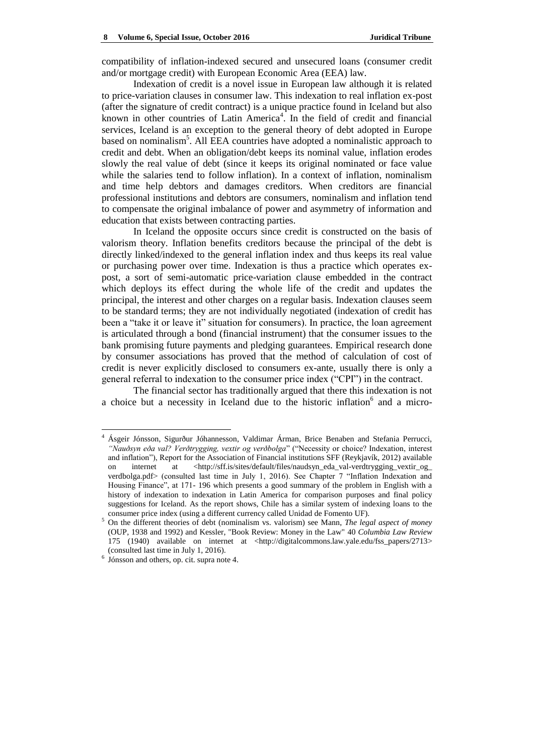compatibility of inflation-indexed secured and unsecured loans (consumer credit and/or mortgage credit) with European Economic Area (EEA) law.

Indexation of credit is a novel issue in European law although it is related to price-variation clauses in consumer law. This indexation to real inflation ex-post (after the signature of credit contract) is a unique practice found in Iceland but also known in other countries of Latin America<sup>4</sup>. In the field of credit and financial services, Iceland is an exception to the general theory of debt adopted in Europe based on nominalism<sup>5</sup>. All EEA countries have adopted a nominalistic approach to credit and debt. When an obligation/debt keeps its nominal value, inflation erodes slowly the real value of debt (since it keeps its original nominated or face value while the salaries tend to follow inflation). In a context of inflation, nominalism and time help debtors and damages creditors. When creditors are financial professional institutions and debtors are consumers, nominalism and inflation tend to compensate the original imbalance of power and asymmetry of information and education that exists between contracting parties.

In Iceland the opposite occurs since credit is constructed on the basis of valorism theory. Inflation benefits creditors because the principal of the debt is directly linked/indexed to the general inflation index and thus keeps its real value or purchasing power over time. Indexation is thus a practice which operates expost, a sort of semi-automatic price-variation clause embedded in the contract which deploys its effect during the whole life of the credit and updates the principal, the interest and other charges on a regular basis. Indexation clauses seem to be standard terms; they are not individually negotiated (indexation of credit has been a "take it or leave it" situation for consumers). In practice, the loan agreement is articulated through a bond (financial instrument) that the consumer issues to the bank promising future payments and pledging guarantees. Empirical research done by consumer associations has proved that the method of calculation of cost of credit is never explicitly disclosed to consumers ex-ante, usually there is only a general referral to indexation to the consumer price index ("CPI") in the contract.

The financial sector has traditionally argued that there this indexation is not a choice but a necessity in Iceland due to the historic inflation<sup>6</sup> and a micro-

 $\overline{a}$ 

<sup>4</sup> Ásgeir Jónsson, Sigurður Jóhannesson, Valdimar Árman, Brice Benaben and Stefania Perrucci, *"Nauðsyn eða val? Verðtrygging, vextir og verðbolga*‖ (―Necessity or choice? Indexation, interest and inflation"), Report for the Association of Financial institutions SFF (Reykjavík, 2012) available on internet at <http://sff.is/sites/default/files/naudsyn\_eda\_val-verdtrygging\_vextir\_og [verdbolga.pdf>](http://sff.is/sites/default/files/naudsyn_eda_val-verdtrygging_vextir_og_%20verdbolga.pdf) (consulted last time in July 1, 2016). See Chapter 7 "Inflation Indexation and Housing Finance", at 171-196 which presents a good summary of the problem in English with a history of indexation to indexation in Latin America for comparison purposes and final policy suggestions for Iceland. As the report shows, Chile has a similar system of indexing loans to the consumer price index (using a different currency called Unidad de Fomento UF).

<sup>5</sup> On the different theories of debt (nominalism vs. valorism) see Mann, *The legal aspect of money* (OUP, 1938 and 1992) and Kessler, "Book Review: Money in the Law" 40 *Columbia Law Review* 175 (1940) available on internet at [<http://digitalcommons.law.yale.edu/fss\\_papers/2713>](http://digitalcommons.law.yale.edu/fss_papers/2713) (consulted last time in July 1, 2016).

<sup>6</sup> Jónsson and others, op. cit. supra note 4.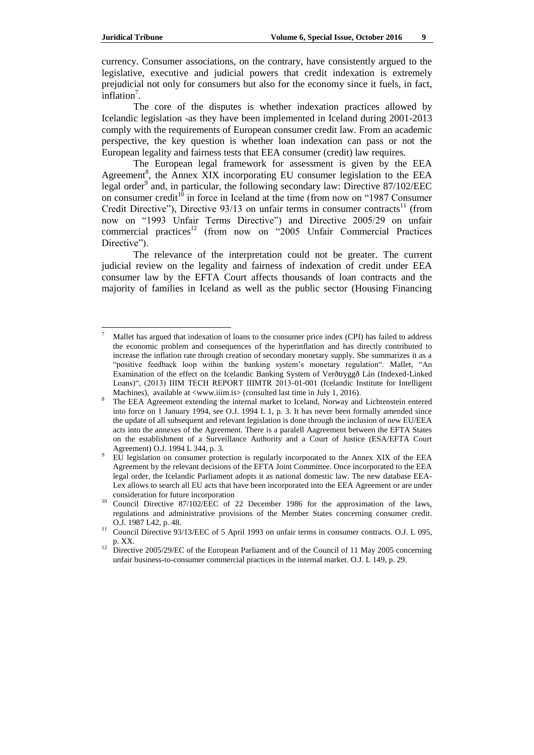currency. Consumer associations, on the contrary, have consistently argued to the legislative, executive and judicial powers that credit indexation is extremely prejudicial not only for consumers but also for the economy since it fuels, in fact,  $inflation<sup>7</sup>$ .

The core of the disputes is whether indexation practices allowed by Icelandic legislation -as they have been implemented in Iceland during 2001-2013 comply with the requirements of European consumer credit law. From an academic perspective, the key question is whether loan indexation can pass or not the European legality and fairness tests that EEA consumer (credit) law requires.

The European legal framework for assessment is given by the EEA Agreement<sup>8</sup>, the Annex XIX incorporating EU consumer legislation to the EEA legal order<sup>9</sup> and, in particular, the following secondary law: Directive 87/102/EEC on consumer credit<sup>10</sup> in force in Iceland at the time (from now on "1987 Consumer Credit Directive"), Directive  $93/13$  on unfair terms in consumer contracts<sup>11</sup> (from now on "1993 Unfair Terms Directive") and Directive 2005/29 on unfair commercial practices<sup>12</sup> (from now on  $-2005$  Unfair Commercial Practices Directive").

The relevance of the interpretation could not be greater. The current judicial review on the legality and fairness of indexation of credit under EEA consumer law by the EFTA Court affects thousands of loan contracts and the majority of families in Iceland as well as the public sector (Housing Financing

<sup>7</sup> Mallet has argued that indexation of loans to the consumer price index (CPI) has failed to address the economic problem and consequences of the hyperinflation and has directly contributed to increase the inflation rate through creation of secondary monetary supply. She summarizes it as a "positive feedback loop within the banking system's monetary regulation". Mallet, "An Examination of the effect on the Icelandic Banking System of Verðtryggð Lán (Indexed-Linked Loans)", (2013) IIIM TECH REPORT IIIMTR 2013-01-001 (Icelandic Institute for Intelligent Machines), available at [<www.iiim.is>](http://www.iiim.is/) (consulted last time in July 1, 2016).

<sup>&</sup>lt;sup>8</sup> The EEA Agreement extending the internal market to Iceland, Norway and Lichtenstein entered into force on 1 January 1994, see O.J. 1994 L 1, p. 3. It has never been formally amended since the update of all subsequent and relevant legislation is done through the inclusion of new EU/EEA acts into the annexes of the Agreement. There is a paralell Aagreement between the EFTA States on the establishment of a Surveillance Authority and a Court of Justice (ESA/EFTA Court Agreement) O.J. 1994 L 344, p. 3.

<sup>9</sup> EU legislation on consumer protection is regularly incorporated to the Annex XIX of the EEA Agreement by the relevant decisions of the EFTA Joint Committee. Once incorporated to the EEA legal order, the Icelandic Parliament adopts it as national domestic law. The new database EEA-Lex allows to search all EU acts that have been incorporated into the [EEA Agreement](http://www.efta.int/legal-texts/eea) or are under consideration for future incorporation

<sup>10</sup> Council Directive 87/102/EEC of 22 December 1986 for the approximation of the laws, regulations and administrative provisions of the Member States concerning consumer credit. O.J. 1987 L42, p. 48.

<sup>&</sup>lt;sup>11</sup> Council Directive 93/13/EEC of 5 April 1993 on unfair terms in consumer contracts. O.J. L 095, p. XX.

<sup>&</sup>lt;sup>12</sup> Directive 2005/29/EC of the European Parliament and of the Council of 11 May 2005 concerning unfair business-to-consumer commercial practices in the internal market. O.J. L 149, p. 29.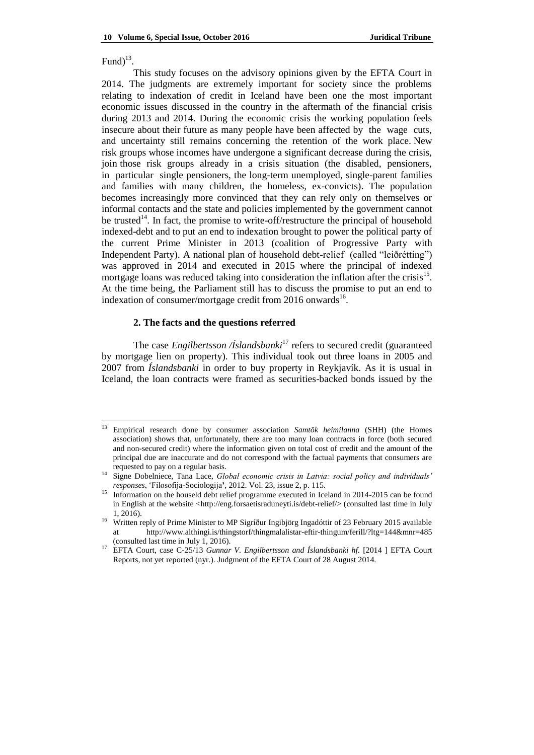# Fund $)^{13}$ .

 $\overline{\phantom{a}}$ 

This study focuses on the advisory opinions given by the EFTA Court in 2014. The judgments are extremely important for society since the problems relating to indexation of credit in Iceland have been one the most important economic issues discussed in the country in the aftermath of the financial crisis during 2013 and 2014. During the economic crisis the working population feels insecure about their future as many people have been affected by the wage cuts, and uncertainty still remains concerning the retention of the work place. New risk groups whose incomes have undergone a significant decrease during the crisis, join those risk groups already in a crisis situation (the disabled, pensioners, in particular single pensioners, the long-term unemployed, single-parent families and families with many children, the homeless, ex-convicts). The population becomes increasingly more convinced that they can rely only on themselves or informal contacts and the state and policies implemented by the government cannot be trusted<sup>14</sup>. In fact, the promise to write-off/restructure the principal of household indexed-debt and to put an end to indexation brought to power the political party of the current Prime Minister in 2013 (coalition of Progressive Party with Independent Party). A national plan of household debt-relief (called "leiðrétting") was approved in 2014 and executed in 2015 where the principal of indexed mortgage loans was reduced taking into consideration the inflation after the crisis<sup>15</sup>. At the time being, the Parliament still has to discuss the promise to put an end to indexation of consumer/mortgage credit from 2016 onwards<sup>16</sup>.

# **2. The facts and the questions referred**

The case *Engilbertsson* /*Íslandsbanki<sup>17</sup>* refers to secured credit (guaranteed by mortgage lien on property). This individual took out three loans in 2005 and 2007 from *Íslandsbanki* in order to buy property in Reykjavík. As it is usual in Iceland, the loan contracts were framed as securities-backed bonds issued by the

<sup>13</sup> Empirical research done by consumer association *Samtök heimilanna* (SHH) (the Homes association) shows that, unfortunately, there are too many loan contracts in force (both secured and non-secured credit) where the information given on total cost of credit and the amount of the principal due are inaccurate and do not correspond with the factual payments that consumers are requested to pay on a regular basis.

<sup>14</sup> Signe Dobelniece, Tana Lace, *Global economic crisis in Latvia: social policy and individuals' responses*, ‗Filosofija-Sociologija**'**, 2012. Vol. 23, issue 2, p. 115.

<sup>&</sup>lt;sup>15</sup> Information on the houseld debt relief programme executed in Iceland in 2014-2015 can be found in English at the website [<http://eng.forsaetisraduneyti.is/debt-relief/>](http://eng.forsaetisraduneyti.is/debt-relief/) (consulted last time in July 1, 2016).

<sup>&</sup>lt;sup>16</sup> Written reply of Prime Minister to MP Sigríður Ingibjörg Ingadóttir of 23 February 2015 available at <http://www.althingi.is/thingstorf/thingmalalistar-eftir-thingum/ferill/?ltg=144&mnr=485> (consulted last time in July 1, 2016).

<sup>17</sup> EFTA Court, case C-25/13 *Gunnar V. Engilbertsson and Íslandsbanki hf.* [2014 ] EFTA Court Reports, not yet reported (nyr.). Judgment of the EFTA Court of 28 August 2014.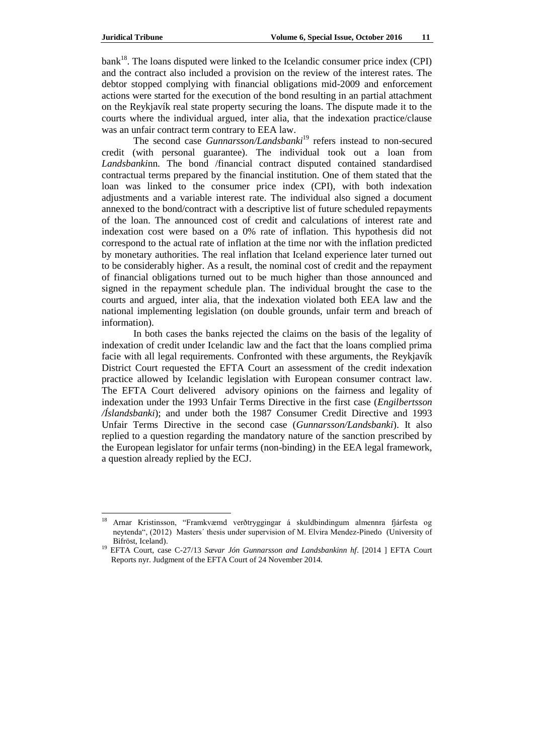$bank<sup>18</sup>$ . The loans disputed were linked to the Icelandic consumer price index (CPI) and the contract also included a provision on the review of the interest rates. The debtor stopped complying with financial obligations mid-2009 and enforcement actions were started for the execution of the bond resulting in an partial attachment on the Reykjavík real state property securing the loans. The dispute made it to the courts where the individual argued, inter alia, that the indexation practice/clause was an unfair contract term contrary to EEA law.

The second case *Gunnarsson/Landsbanki*<sup>19</sup> refers instead to non-secured credit (with personal guarantee). The individual took out a loan from *Landsbanki*nn. The bond /financial contract disputed contained standardised contractual terms prepared by the financial institution. One of them stated that the loan was linked to the consumer price index (CPI), with both indexation adjustments and a variable interest rate. The individual also signed a document annexed to the bond/contract with a descriptive list of future scheduled repayments of the loan. The announced cost of credit and calculations of interest rate and indexation cost were based on a 0% rate of inflation. This hypothesis did not correspond to the actual rate of inflation at the time nor with the inflation predicted by monetary authorities. The real inflation that Iceland experience later turned out to be considerably higher. As a result, the nominal cost of credit and the repayment of financial obligations turned out to be much higher than those announced and signed in the repayment schedule plan. The individual brought the case to the courts and argued, inter alia, that the indexation violated both EEA law and the national implementing legislation (on double grounds, unfair term and breach of information).

In both cases the banks rejected the claims on the basis of the legality of indexation of credit under Icelandic law and the fact that the loans complied prima facie with all legal requirements. Confronted with these arguments, the Reykjavík District Court requested the EFTA Court an assessment of the credit indexation practice allowed by Icelandic legislation with European consumer contract law. The EFTA Court delivered advisory opinions on the fairness and legality of indexation under the 1993 Unfair Terms Directive in the first case (*Engilbertsson /Íslandsbanki*); and under both the 1987 Consumer Credit Directive and 1993 Unfair Terms Directive in the second case (*Gunnarsson/Landsbanki*). It also replied to a question regarding the mandatory nature of the sanction prescribed by the European legislator for unfair terms (non-binding) in the EEA legal framework, a question already replied by the ECJ.

<sup>18</sup> Arnar Kristinsson, ―Framkvæmd verðtryggingar á skuldbindingum almennra fjárfesta og neytenda", (2012) Masters' thesis under supervision of M. Elvira Mendez-Pinedo (University of Bifröst, Iceland).

<sup>19</sup> EFTA Court, case C-27/13 *Sævar Jón Gunnarsson and Landsbankinn hf*. [2014 ] EFTA Court Reports nyr. Judgment of the EFTA Court of 24 November 2014.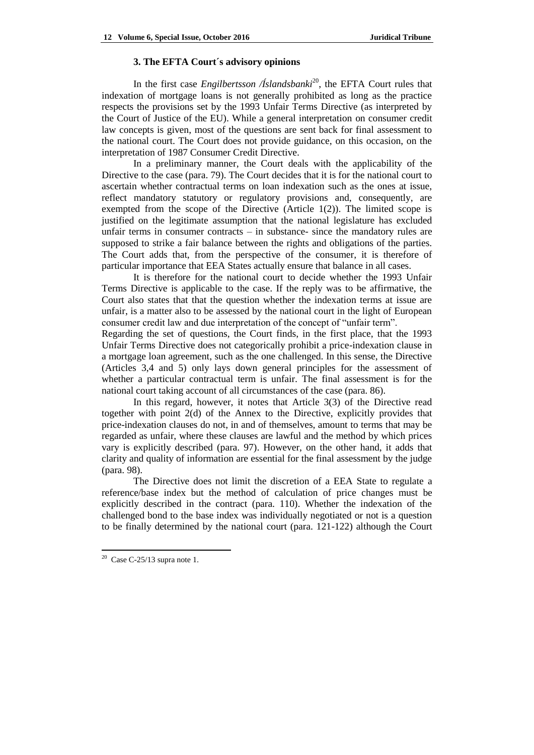#### **3. The EFTA Court´s advisory opinions**

In the first case *Engilbertsson* /*Íslandsbanki*<sup>20</sup>, the EFTA Court rules that indexation of mortgage loans is not generally prohibited as long as the practice respects the provisions set by the 1993 Unfair Terms Directive (as interpreted by the Court of Justice of the EU). While a general interpretation on consumer credit law concepts is given, most of the questions are sent back for final assessment to the national court. The Court does not provide guidance, on this occasion, on the interpretation of 1987 Consumer Credit Directive.

In a preliminary manner, the Court deals with the applicability of the Directive to the case (para. 79). The Court decides that it is for the national court to ascertain whether contractual terms on loan indexation such as the ones at issue, reflect mandatory statutory or regulatory provisions and, consequently, are exempted from the scope of the Directive (Article  $1(2)$ ). The limited scope is justified on the legitimate assumption that the national legislature has excluded unfair terms in consumer contracts – in substance- since the mandatory rules are supposed to strike a fair balance between the rights and obligations of the parties. The Court adds that, from the perspective of the consumer, it is therefore of particular importance that EEA States actually ensure that balance in all cases.

It is therefore for the national court to decide whether the 1993 Unfair Terms Directive is applicable to the case. If the reply was to be affirmative, the Court also states that that the question whether the indexation terms at issue are unfair, is a matter also to be assessed by the national court in the light of European consumer credit law and due interpretation of the concept of "unfair term".

Regarding the set of questions, the Court finds, in the first place, that the 1993 Unfair Terms Directive does not categorically prohibit a price-indexation clause in a mortgage loan agreement, such as the one challenged. In this sense, the Directive (Articles 3,4 and 5) only lays down general principles for the assessment of whether a particular contractual term is unfair. The final assessment is for the national court taking account of all circumstances of the case (para. 86).

In this regard, however, it notes that Article 3(3) of the Directive read together with point 2(d) of the Annex to the Directive, explicitly provides that price-indexation clauses do not, in and of themselves, amount to terms that may be regarded as unfair, where these clauses are lawful and the method by which prices vary is explicitly described (para. 97). However, on the other hand, it adds that clarity and quality of information are essential for the final assessment by the judge (para. 98).

The Directive does not limit the discretion of a EEA State to regulate a reference/base index but the method of calculation of price changes must be explicitly described in the contract (para. 110). Whether the indexation of the challenged bond to the base index was individually negotiated or not is a question to be finally determined by the national court (para. 121-122) although the Court

 $\overline{\phantom{a}}$ 

<sup>&</sup>lt;sup>20</sup> Case C-25/13 supra note 1.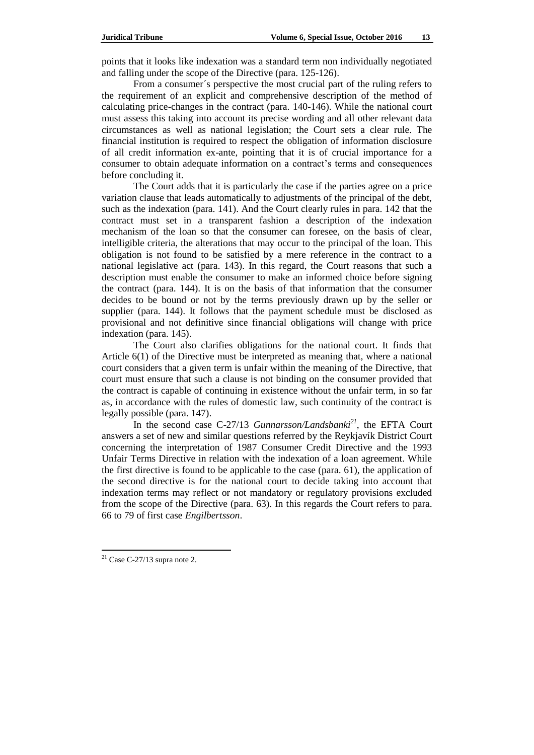points that it looks like indexation was a standard term non individually negotiated and falling under the scope of the Directive (para. 125-126).

From a consumer´s perspective the most crucial part of the ruling refers to the requirement of an explicit and comprehensive description of the method of calculating price-changes in the contract (para. 140-146). While the national court must assess this taking into account its precise wording and all other relevant data circumstances as well as national legislation; the Court sets a clear rule. The financial institution is required to respect the obligation of information disclosure of all credit information ex-ante, pointing that it is of crucial importance for a consumer to obtain adequate information on a contract's terms and consequences before concluding it.

The Court adds that it is particularly the case if the parties agree on a price variation clause that leads automatically to adjustments of the principal of the debt, such as the indexation (para. 141). And the Court clearly rules in para. 142 that the contract must set in a transparent fashion a description of the indexation mechanism of the loan so that the consumer can foresee, on the basis of clear, intelligible criteria, the alterations that may occur to the principal of the loan. This obligation is not found to be satisfied by a mere reference in the contract to a national legislative act (para. 143). In this regard, the Court reasons that such a description must enable the consumer to make an informed choice before signing the contract (para. 144). It is on the basis of that information that the consumer decides to be bound or not by the terms previously drawn up by the seller or supplier (para. 144). It follows that the payment schedule must be disclosed as provisional and not definitive since financial obligations will change with price indexation (para. 145).

The Court also clarifies obligations for the national court. It finds that Article 6(1) of the Directive must be interpreted as meaning that, where a national court considers that a given term is unfair within the meaning of the Directive, that court must ensure that such a clause is not binding on the consumer provided that the contract is capable of continuing in existence without the unfair term, in so far as, in accordance with the rules of domestic law, such continuity of the contract is legally possible (para. 147).

In the second case C-27/13 *Gunnarsson/Landsbanki<sup>21</sup>*, the EFTA Court answers a set of new and similar questions referred by the Reykjavík District Court concerning the interpretation of 1987 Consumer Credit Directive and the 1993 Unfair Terms Directive in relation with the indexation of a loan agreement. While the first directive is found to be applicable to the case (para. 61), the application of the second directive is for the national court to decide taking into account that indexation terms may reflect or not mandatory or regulatory provisions excluded from the scope of the Directive (para. 63). In this regards the Court refers to para. 66 to 79 of first case *Engilbertsson*.

 $\overline{\phantom{a}}$ 

 $21$  Case C-27/13 supra note 2.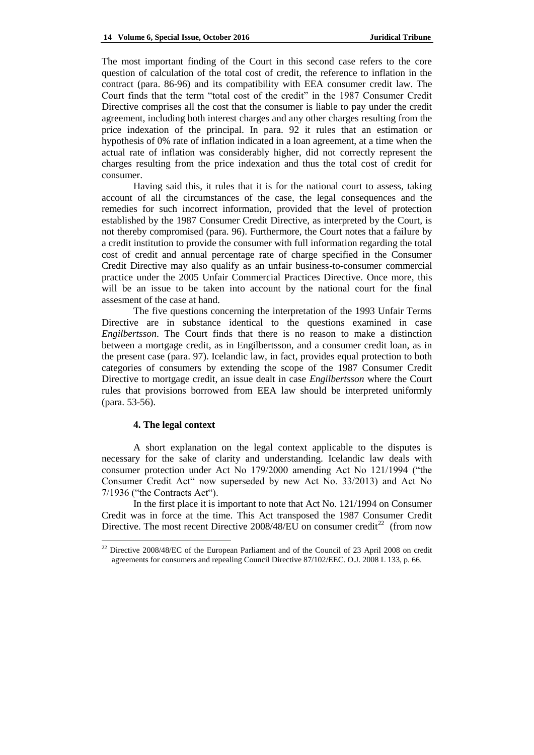The most important finding of the Court in this second case refers to the core question of calculation of the total cost of credit, the reference to inflation in the contract (para. 86-96) and its compatibility with EEA consumer credit law. The Court finds that the term "total cost of the credit" in the 1987 Consumer Credit Directive comprises all the cost that the consumer is liable to pay under the credit agreement, including both interest charges and any other charges resulting from the price indexation of the principal. In para. 92 it rules that an estimation or hypothesis of 0% rate of inflation indicated in a loan agreement, at a time when the actual rate of inflation was considerably higher, did not correctly represent the charges resulting from the price indexation and thus the total cost of credit for consumer.

Having said this, it rules that it is for the national court to assess, taking account of all the circumstances of the case, the legal consequences and the remedies for such incorrect information, provided that the level of protection established by the 1987 Consumer Credit Directive, as interpreted by the Court, is not thereby compromised (para. 96). Furthermore, the Court notes that a failure by a credit institution to provide the consumer with full information regarding the total cost of credit and annual percentage rate of charge specified in the Consumer Credit Directive may also qualify as an unfair business-to-consumer commercial practice under the 2005 Unfair Commercial Practices Directive. Once more, this will be an issue to be taken into account by the national court for the final assesment of the case at hand.

The five questions concerning the interpretation of the 1993 Unfair Terms Directive are in substance identical to the questions examined in case *Engilbertsson*. The Court finds that there is no reason to make a distinction between a mortgage credit, as in Engilbertsson, and a consumer credit loan, as in the present case (para. 97). Icelandic law, in fact, provides equal protection to both categories of consumers by extending the scope of the 1987 Consumer Credit Directive to mortgage credit, an issue dealt in case *Engilbertsson* where the Court rules that provisions borrowed from EEA law should be interpreted uniformly (para. 53-56).

### **4. The legal context**

 $\overline{\phantom{a}}$ 

A short explanation on the legal context applicable to the disputes is necessary for the sake of clarity and understanding. Icelandic law deals with consumer protection under Act No  $179/2000$  amending Act No  $121/1994$  ("the Consumer Credit Act<sup>\*\*</sup> now superseded by new Act No. 33/2013) and Act No  $7/1936$  ("the Contracts Act").

In the first place it is important to note that Act No. 121/1994 on Consumer Credit was in force at the time. This Act transposed the 1987 Consumer Credit Directive. The most recent Directive 2008/48/EU on consumer credit<sup>22</sup> (from now

<sup>&</sup>lt;sup>22</sup> Directive 2008/48/EC of the European Parliament and of the Council of 23 April 2008 on credit agreements for consumers and repealing Council Directive 87/102/EEC. O.J. 2008 L 133, p. 66.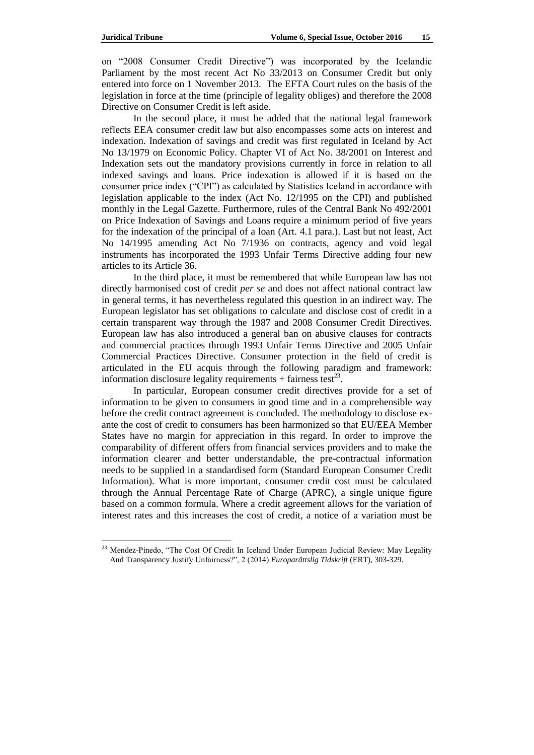on "2008 Consumer Credit Directive") was incorporated by the Icelandic Parliament by the most recent Act No 33/2013 on Consumer Credit but only entered into force on 1 November 2013. The EFTA Court rules on the basis of the legislation in force at the time (principle of legality obliges) and therefore the 2008 Directive on Consumer Credit is left aside.

In the second place, it must be added that the national legal framework reflects EEA consumer credit law but also encompasses some acts on interest and indexation. Indexation of savings and credit was first regulated in Iceland by Act No 13/1979 on Economic Policy. Chapter VI of Act No. 38/2001 on Interest and Indexation sets out the mandatory provisions currently in force in relation to all indexed savings and loans. Price indexation is allowed if it is based on the consumer price index ("CPI") as calculated by Statistics Iceland in accordance with legislation applicable to the index (Act No. 12/1995 on the CPI) and published monthly in the Legal Gazette. Furthermore, rules of the Central Bank No 492/2001 on Price Indexation of Savings and Loans require a minimum period of five years for the indexation of the principal of a loan (Art. 4.1 para.). Last but not least, Act No 14/1995 amending Act No 7/1936 on contracts, agency and void legal instruments has incorporated the 1993 Unfair Terms Directive adding four new articles to its Article 36.

In the third place, it must be remembered that while European law has not directly harmonised cost of credit *per se* and does not affect national contract law in general terms, it has nevertheless regulated this question in an indirect way. The European legislator has set obligations to calculate and disclose cost of credit in a certain transparent way through the 1987 and 2008 Consumer Credit Directives. European law has also introduced a general ban on abusive clauses for contracts and commercial practices through 1993 Unfair Terms Directive and 2005 Unfair Commercial Practices Directive. Consumer protection in the field of credit is articulated in the EU acquis through the following paradigm and framework: information disclosure legality requirements  $+$  fairness test<sup>23</sup>.

In particular, European consumer credit directives provide for a set of information to be given to consumers in good time and in a comprehensible way before the credit contract agreement is concluded. The methodology to disclose exante the cost of credit to consumers has been harmonized so that EU/EEA Member States have no margin for appreciation in this regard. In order to improve the comparability of different offers from financial services providers and to make the information clearer and better understandable, the pre-contractual information needs to be supplied in a standardised form (Standard European Consumer Credit Information). What is more important, consumer credit cost must be calculated through the Annual Percentage Rate of Charge (APRC), a single unique figure based on a common formula. Where a credit agreement allows for the variation of interest rates and this increases the cost of credit, a notice of a variation must be

<sup>&</sup>lt;sup>23</sup> Mendez-Pinedo, "The Cost Of Credit In Iceland Under European Judicial Review: May Legality And Transparency Justify Unfairness?", 2 (2014) *Europarättslig Tidskrift* (ERT), 303-329.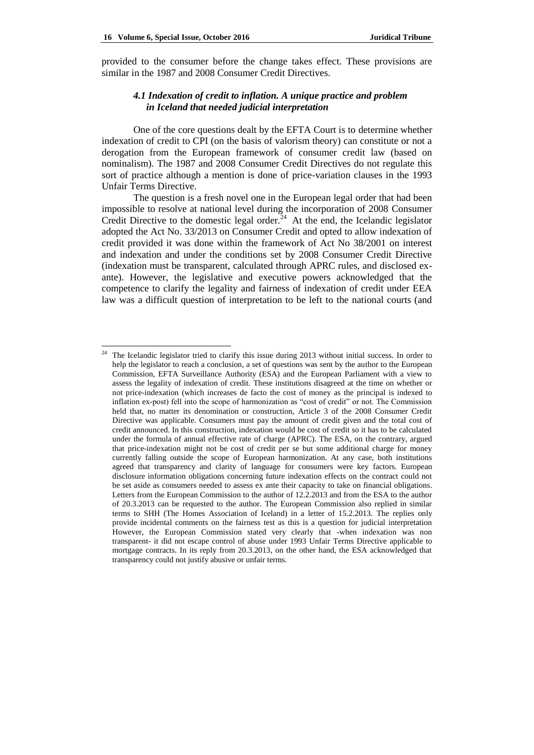provided to the consumer before the change takes effect. These provisions are similar in the 1987 and 2008 Consumer Credit Directives.

# *4.1 Indexation of credit to inflation. A unique practice and problem in Iceland that needed judicial interpretation*

One of the core questions dealt by the EFTA Court is to determine whether indexation of credit to CPI (on the basis of valorism theory) can constitute or not a derogation from the European framework of consumer credit law (based on nominalism). The 1987 and 2008 Consumer Credit Directives do not regulate this sort of practice although a mention is done of price-variation clauses in the 1993 Unfair Terms Directive.

The question is a fresh novel one in the European legal order that had been impossible to resolve at national level during the incorporation of 2008 Consumer Credit Directive to the domestic legal order.<sup>24</sup> At the end, the Icelandic legislator adopted the Act No. 33/2013 on Consumer Credit and opted to allow indexation of credit provided it was done within the framework of Act No 38/2001 on interest and indexation and under the conditions set by 2008 Consumer Credit Directive (indexation must be transparent, calculated through APRC rules, and disclosed exante). However, the legislative and executive powers acknowledged that the competence to clarify the legality and fairness of indexation of credit under EEA law was a difficult question of interpretation to be left to the national courts (and

 $\overline{24}$ <sup>24</sup> The Icelandic legislator tried to clarify this issue during 2013 without initial success. In order to help the legislator to reach a conclusion, a set of questions was sent by the author to the European Commission, EFTA Surveillance Authority (ESA) and the European Parliament with a view to assess the legality of indexation of credit. These institutions disagreed at the time on whether or not price-indexation (which increases de facto the cost of money as the principal is indexed to inflation ex-post) fell into the scope of harmonization as "cost of credit" or not. The Commission held that, no matter its denomination or construction, Article 3 of the 2008 Consumer Credit Directive was applicable. Consumers must pay the amount of credit given and the total cost of credit announced. In this construction, indexation would be cost of credit so it has to be calculated under the formula of annual effective rate of charge (APRC). The ESA, on the contrary, argued that price-indexation might not be cost of credit per se but some additional charge for money currently falling outside the scope of European harmonization. At any case, both institutions agreed that transparency and clarity of language for consumers were key factors. European disclosure information obligations concerning future indexation effects on the contract could not be set aside as consumers needed to assess ex ante their capacity to take on financial obligations. Letters from the European Commission to the author of 12.2.2013 and from the ESA to the author of 20.3.2013 can be requested to the author. The European Commission also replied in similar terms to SHH (The Homes Association of Iceland) in a letter of 15.2.2013. The replies only provide incidental comments on the fairness test as this is a question for judicial interpretation However, the European Commission stated very clearly that -when indexation was non transparent- it did not escape control of abuse under 1993 Unfair Terms Directive applicable to mortgage contracts. In its reply from 20.3.2013, on the other hand, the ESA acknowledged that transparency could not justify abusive or unfair terms.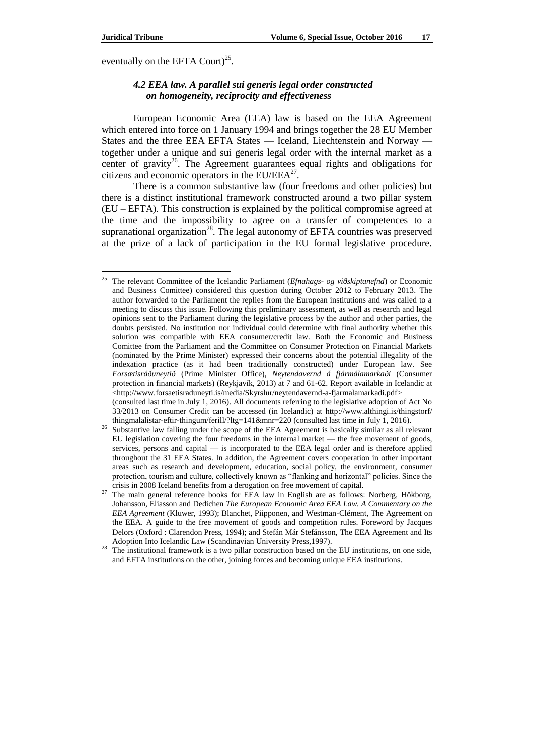eventually on the EFTA Court) $^{25}$ .

# *4.2 EEA law. A parallel sui generis legal order constructed on homogeneity, reciprocity and effectiveness*

European Economic Area (EEA) law is based on the EEA Agreement which entered into force on 1 January 1994 and brings together the 28 EU Member States and the three EEA EFTA States — Iceland, Liechtenstein and Norway together under a unique and sui generis legal order with the internal market as a center of gravity<sup>26</sup>. The Agreement guarantees equal rights and obligations for citizens and economic operators in the  $EU/EEA<sup>27</sup>$ .

There is a common substantive law (four freedoms and other policies) but there is a distinct institutional framework constructed around a two pillar system (EU – EFTA). This construction is explained by the political compromise agreed at the time and the impossibility to agree on a transfer of competences to a supranational organization<sup>28</sup>. The legal autonomy of EFTA countries was preserved at the prize of a lack of participation in the EU formal legislative procedure.

<sup>25</sup> The relevant Committee of the Icelandic Parliament (*Efnahags- og viðskiptanefnd*) or Economic and Business Comittee) considered this question during October 2012 to February 2013. The author forwarded to the Parliament the replies from the European institutions and was called to a meeting to discuss this issue. Following this preliminary assessment, as well as research and legal opinions sent to the Parliament during the legislative process by the author and other parties, the doubts persisted. No institution nor individual could determine with final authority whether this solution was compatible with EEA consumer/credit law. Both the Economic and Business Comittee from the Parliament and the Committee on Consumer Protection on Financial Markets (nominated by the Prime Minister) expressed their concerns about the potential illegality of the indexation practice (as it had been traditionally constructed) under European law. See *Forsætisráðuneytið* (Prime Minister Office), *Neytendavernd á fjármálamarkaði* (Consumer protection in financial markets) (Reykjavík, 2013) at 7 and 61-62. Report available in Icelandic at [<http://www.forsaetisraduneyti.is/media/Skyrslur/neytendavernd-a-fjarmalamarkadi.pdf>](http://www.forsaetisraduneyti.is/media/Skyrslur/neytendavernd-a-fjarmalamarkadi.pdf) (consulted last time in July 1, 2016). All documents referring to the legislative adoption of Act No

<sup>33/2013</sup> on Consumer Credit can be accessed (in Icelandic) at [http://www.althingi.is/thingstorf/](http://www.althingi.is/thingstorf/%20thingmalalistar-eftir-thingum/ferill/?ltg=141&mnr=220) [thingmalalistar-eftir-thingum/ferill/?ltg=141&mnr=220](http://www.althingi.is/thingstorf/%20thingmalalistar-eftir-thingum/ferill/?ltg=141&mnr=220) (consulted last time in July 1, 2016).

<sup>26</sup> Substantive law falling under the scope of the EEA Agreement is basically similar as all relevant EU legislation covering the four freedoms in the internal market — the free movement of goods, services, persons and capital — is incorporated to the EEA legal order and is therefore applied throughout the 31 EEA States. In addition, the Agreement covers cooperation in other important areas such as research and development, education, social policy, the environment, consumer protection, tourism and culture, collectively known as "flanking and horizontal" policies. Since the crisis in 2008 Iceland benefits from a derogation on free movement of capital.

<sup>&</sup>lt;sup>27</sup> The main general reference books for EEA law in English are as follows: Norberg, Hökborg, Johansson, Eliasson and Dedichen *The European Economic Area EEA Law. A Commentary on the EEA Agreement* (Kluwer, 1993); Blanchet, Piipponen, and Westman-Clément, The Agreement on the EEA. A guide to the free movement of goods and competition rules. Foreword by Jacques Delors (Oxford : Clarendon Press, 1994); and Stefán Már Stefánsson, The EEA Agreement and Its Adoption Into Icelandic Law (Scandinavian University Press,1997).

<sup>&</sup>lt;sup>28</sup> The institutional framework is a two pillar construction based on the EU institutions, on one side, and EFTA institutions on the other, joining forces and becoming unique EEA institutions.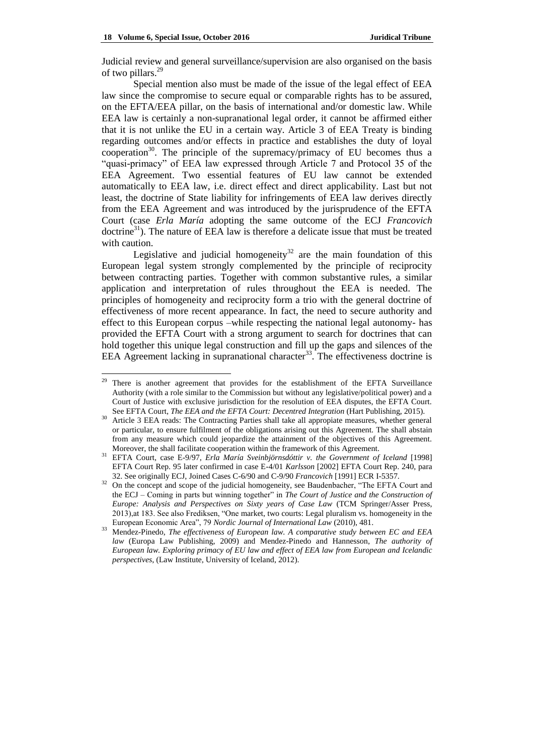Judicial review and general surveillance/supervision are also organised on the basis of two pillars.<sup>29</sup>

Special mention also must be made of the issue of the legal effect of EEA law since the compromise to secure equal or comparable rights has to be assured, on the EFTA/EEA pillar, on the basis of international and/or domestic law. While EEA law is certainly a non-supranational legal order, it cannot be affirmed either that it is not unlike the EU in a certain way. Article 3 of EEA Treaty is binding regarding outcomes and/or effects in practice and establishes the duty of loyal cooperation<sup>30</sup>. The principle of the supremacy/primacy of EU becomes thus a ―quasi-primacy‖ of EEA law expressed through Article 7 and Protocol 35 of the EEA Agreement. Two essential features of EU law cannot be extended automatically to EEA law, i.e. direct effect and direct applicability. Last but not least, the doctrine of State liability for infringements of EEA law derives directly from the EEA Agreement and was introduced by the jurisprudence of the EFTA Court (case *Erla María* adopting the same outcome of the ECJ *Francovich* doctrine<sup>31</sup>). The nature of EEA law is therefore a delicate issue that must be treated with caution.

Legislative and judicial homogeneity<sup>32</sup> are the main foundation of this European legal system strongly complemented by the principle of reciprocity between contracting parties. Together with common substantive rules, a similar application and interpretation of rules throughout the EEA is needed. The principles of homogeneity and reciprocity form a trio with the general doctrine of effectiveness of more recent appearance. In fact, the need to secure authority and effect to this European corpus –while respecting the national legal autonomy- has provided the EFTA Court with a strong argument to search for doctrines that can hold together this unique legal construction and fill up the gaps and silences of the EEA Agreement lacking in supranational character<sup>33</sup>. The effectiveness doctrine is

<sup>&</sup>lt;sup>29</sup> There is another agreement that provides for the establishment of the EFTA Surveillance Authority (with a role similar to the Commission but without any legislative/political power) and a Court of Justice with exclusive jurisdiction for the resolution of EEA disputes, the EFTA Court. See EFTA Court, *The EEA and the EFTA Court: Decentred Integration* (Hart Publishing, 2015).

<sup>30</sup> Article 3 EEA reads: The Contracting Parties shall take all appropiate measures, whether general or particular, to ensure fulfilment of the obligations arising out this Agreement. The shall abstain from any measure which could jeopardize the attainment of the objectives of this Agreement. Moreover, the shall facilitate cooperation within the framework of this Agreement.

<sup>31</sup> EFTA Court, case E-9/97, *Erla María Sveinbjörnsdóttir v. the Government of Iceland* [1998] EFTA Court Rep. 95 later confirmed in case E-4/01 *Karlsson* [2002] EFTA Court Rep. 240, para 32. See originally ECJ, Joined Cases C-6/90 and C-9/90 *Francovich* [1991] ECR I-5357.

<sup>&</sup>lt;sup>32</sup> On the concept and scope of the judicial homogeneity, see Baudenbacher, "The EFTA Court and the ECJ – Coming in parts but winning together" in *The Court of Justice and the Construction of Europe: Analysis and Perspectives on Sixty years of Case Law* (TCM Springer/Asser Press, 2013),at 183. See also Frediksen, "One market, two courts: Legal pluralism vs. homogeneity in the European Economic Area", 79 *Nordic Journal of International Law* (2010), 481.

<sup>33</sup> Mendez-Pinedo, *The effectiveness of European law. A comparative study between EC and EEA law* (Europa Law Publishing, 2009) and Mendez-Pinedo and Hannesson, *The authority of European law. Exploring primacy of EU law and effect of EEA law from European and Icelandic perspectives*, (Law Institute, University of Iceland, 2012).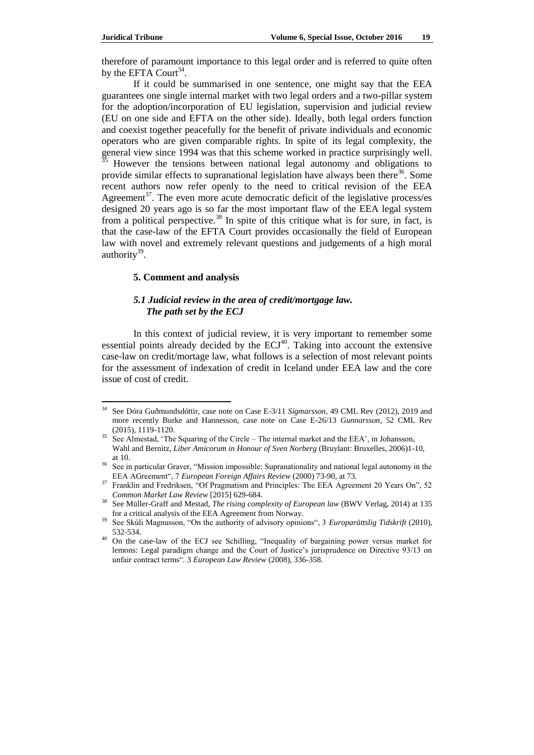therefore of paramount importance to this legal order and is referred to quite often by the EFTA Court<sup>34</sup>.

If it could be summarised in one sentence, one might say that the EEA guarantees one single internal market with two legal orders and a two-pillar system for the adoption/incorporation of EU legislation, supervision and judicial review (EU on one side and EFTA on the other side). Ideally, both legal orders function and coexist together peacefully for the benefit of private individuals and economic operators who are given comparable rights. In spite of its legal complexity, the general view since 1994 was that this scheme worked in practice surprisingly well. <sup>35</sup> However the tensions between national legal autonomy and obligations to provide similar effects to supranational legislation have always been there<sup>36</sup>. Some recent authors now refer openly to the need to critical revision of the EEA Agreement<sup>37</sup>. The even more acute democratic deficit of the legislative process/es designed 20 years ago is so far the most important flaw of the EEA legal system from a political perspective.<sup>38</sup> In spite of this critique what is for sure, in fact, is that the case-law of the EFTA Court provides occasionally the field of European law with novel and extremely relevant questions and judgements of a high moral authority<sup>39</sup>.

#### **5. Comment and analysis**

### *5.1 Judicial review in the area of credit/mortgage law. The path set by the ECJ*

In this context of judicial review, it is very important to remember some essential points already decided by the  $ECJ<sup>40</sup>$ . Taking into account the extensive case-law on credit/mortage law, what follows is a selection of most relevant points for the assessment of indexation of credit in Iceland under EEA law and the core issue of cost of credit.

 $34$ <sup>34</sup> See Dóra Guðmundsdóttir, case note on Case E-3/11 *Sigmarsson*, 49 CML Rev (2012), 2019 and more recently Burke and Hannesson, case note on Case E-26/13 *Gunnarsson*, 52 CML Rev (2015), 1119-1120.

 $35$  See Almestad, 'The Squaring of the Circle – The internal market and the EEA', in Johansson, Wahl and Bernitz, *Liber Amicorum in Honour of Sven Norberg* (Bruylant: Bruxelles, 2006)1-10, at 10.

<sup>&</sup>lt;sup>36</sup> See in particular Graver, "Mission impossible: Supranationality and national legal autonomy in the EEA AGreement<sup>"</sup>, 7 *European Foreign Affairs Review (2000)* 73-90, at 73.

<sup>&</sup>lt;sup>37</sup> Franklin and Fredriksen, "Of Pragmatism and Principles: The EEA Agreement 20 Years On", 52 *Common Market Law Review* [2015] 629-684.

<sup>38</sup> See Müller-Graff and Mestad, *The rising complexity of European law* (BWV Verlag, 2014) at 135 for a critical analysis of the EEA Agreement from Norway.

<sup>&</sup>lt;sup>39</sup> See Skúli Magnusson, "On the authority of advisory opinions", 3 *Europarättslig Tidskrift* (2010), 532-534.

<sup>&</sup>lt;sup>40</sup> On the case-law of the ECJ see Schilling, "Inequality of bargaining power versus market for lemons: Legal paradigm change and the Court of Justice's jurisprudence on Directive 93/13 on unfair contract terms―*.* 3 *European Law Review* (2008), 336-358.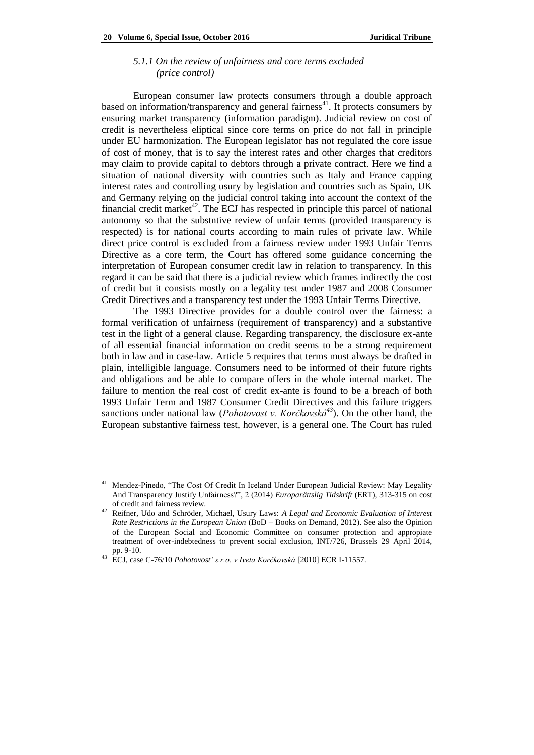#### *5.1.1 On the review of unfairness and core terms excluded (price control)*

European consumer law protects consumers through a double approach based on information/transparency and general fairness<sup>41</sup>. It protects consumers by ensuring market transparency (information paradigm). Judicial review on cost of credit is nevertheless eliptical since core terms on price do not fall in principle under EU harmonization. The European legislator has not regulated the core issue of cost of money, that is to say the interest rates and other charges that creditors may claim to provide capital to debtors through a private contract. Here we find a situation of national diversity with countries such as Italy and France capping interest rates and controlling usury by legislation and countries such as Spain, UK and Germany relying on the judicial control taking into account the context of the financial credit market<sup>42</sup>. The ECJ has respected in principle this parcel of national autonomy so that the substntive review of unfair terms (provided transparency is respected) is for national courts according to main rules of private law. While direct price control is excluded from a fairness review under 1993 Unfair Terms Directive as a core term, the Court has offered some guidance concerning the interpretation of European consumer credit law in relation to transparency. In this regard it can be said that there is a judicial review which frames indirectly the cost of credit but it consists mostly on a legality test under 1987 and 2008 Consumer Credit Directives and a transparency test under the 1993 Unfair Terms Directive.

The 1993 Directive provides for a double control over the fairness: a formal verification of unfairness (requirement of transparency) and a substantive test in the light of a general clause. Regarding transparency, the disclosure ex-ante of all essential financial information on credit seems to be a strong requirement both in law and in case-law. Article 5 requires that terms must always be drafted in plain, intelligible language. Consumers need to be informed of their future rights and obligations and be able to compare offers in the whole internal market. The failure to mention the real cost of credit ex-ante is found to be a breach of both 1993 Unfair Term and 1987 Consumer Credit Directives and this failure triggers sanctions under national law (*Pohotovost v. Korčkovská<sup>43</sup>*). On the other hand, the European substantive fairness test, however, is a general one. The Court has ruled

 $\overline{\phantom{a}}$ 

<sup>&</sup>lt;sup>41</sup> Mendez-Pinedo, "The Cost Of Credit In Iceland Under European Judicial Review: May Legality And Transparency Justify Unfairness?", 2 (2014) *Europarättslig Tidskrift* (ERT), 313-315 on cost of credit and fairness review.

<sup>42</sup> Reifner, Udo and Schröder, Michael, Usury Laws: *A Legal and Economic Evaluation of Interest Rate Restrictions in the European Union* (BoD – Books on Demand, 2012). See also the Opinion of the European Social and Economic Committee on consumer protection and appropiate treatment of over-indebtedness to prevent social exclusion, INT/726, Brussels 29 April 2014, pp. 9-10.

<sup>43</sup> ECJ, case C-76/10 *Pohotovost' s.r.o. v Iveta Korčkovská* [2010] ECR I-11557.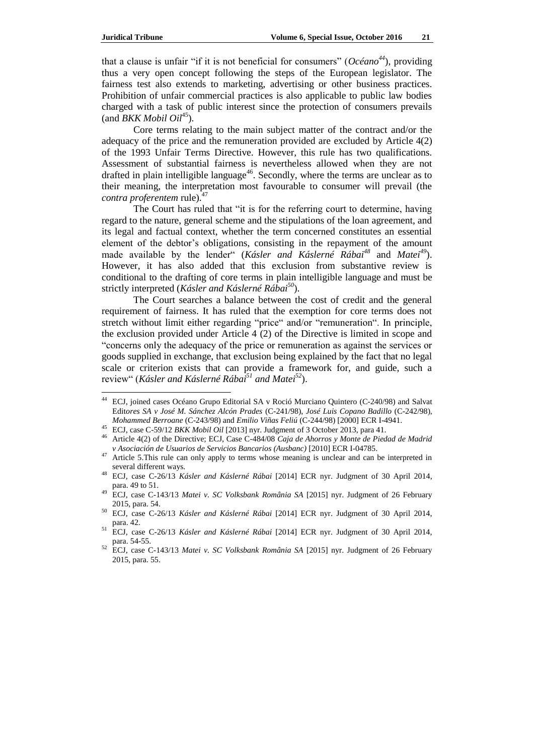that a clause is unfair "if it is not beneficial for consumers" ( $Oc\acute{e}ano^{44}$ ), providing thus a very open concept following the steps of the European legislator. The fairness test also extends to marketing, advertising or other business practices. Prohibition of unfair commercial practices is also applicable to public law bodies charged with a task of public interest since the protection of consumers prevails  $\text{(and } BKK \text{ Mobil } Oil^{45})$ .

Core terms relating to the main subject matter of the contract and/or the adequacy of the price and the remuneration provided are excluded by Article 4(2) of the 1993 Unfair Terms Directive. However, this rule has two qualifications. Assessment of substantial fairness is nevertheless allowed when they are not drafted in plain intelligible language<sup>46</sup>. Secondly, where the terms are unclear as to their meaning, the interpretation most favourable to consumer will prevail (the *contra proferentem* rule).<sup>47</sup>

The Court has ruled that "it is for the referring court to determine, having regard to the nature, general scheme and the stipulations of the loan agreement, and its legal and factual context, whether the term concerned constitutes an essential element of the debtor's obligations, consisting in the repayment of the amount made available by the lender" (*Kásler and Káslerné Rábai*<sup>48</sup> and *Matei*<sup>49</sup>). However, it has also added that this exclusion from substantive review is conditional to the drafting of core terms in plain intelligible language and must be strictly interpreted (*Kásler and Káslerné Rábai<sup>50</sup>*).

The Court searches a balance between the cost of credit and the general requirement of fairness. It has ruled that the exemption for core terms does not stretch without limit either regarding "price" and/or "remuneration". In principle, the exclusion provided under Article 4 (2) of the Directive is limited in scope and ―concerns only the adequacy of the price or remuneration as against the services or goods supplied in exchange, that exclusion being explained by the fact that no legal scale or criterion exists that can provide a framework for, and guide, such a review― (*Kásler and Káslerné Rábai<sup>51</sup> and Matei<sup>52</sup>*).

 $44$ <sup>44</sup> ECJ, joined cases Océano Grupo Editorial SA v Roció Murciano Quintero (C-240/98) and Salvat Edit*ores SA v José M. Sánchez Alcón Prades* (C-241/98), *José Luis Copano Badillo* (C-242/98), *Mohammed Berroane* (C-243/98) and *Emilio Viñas Feliú* (C-244/98) [2000] ECR I-4941.

<sup>45</sup> ECJ, case C-59/12 *BKK Mobil Oil* [2013] nyr. Judgment of 3 October 2013, para 41.

<sup>46</sup> Article 4(2) of the Directive; ECJ, Case C-484/08 *Caja de Ahorros y Monte de Piedad de Madrid v Asociación de Usuarios de Servicios Bancarios (Ausbanc)* [2010] ECR I-04785.

<sup>47</sup> Article 5.This rule can only apply to terms whose meaning is unclear and can be interpreted in several different ways.

<sup>48</sup> ECJ, case C-26/13 *Kásler and Káslerné Rábai* [2014] ECR nyr. Judgment of 30 April 2014, para. 49 to 51.

<sup>49</sup> ECJ, case C-143/13 *Matei v. SC Volksbank România SA* [2015] nyr. Judgment of 26 February 2015, para. 54.

<sup>50</sup> ECJ, case C-26/13 *Kásler and Káslerné Rábai* [2014] ECR nyr. Judgment of 30 April 2014, para. 42.

<sup>51</sup> ECJ, case C-26/13 *Kásler and Káslerné Rábai* [2014] ECR nyr. Judgment of 30 April 2014, para. 54-55.

<sup>52</sup> ECJ, case C-143/13 *Matei v. SC Volksbank România SA* [2015] nyr. Judgment of 26 February 2015, para. 55.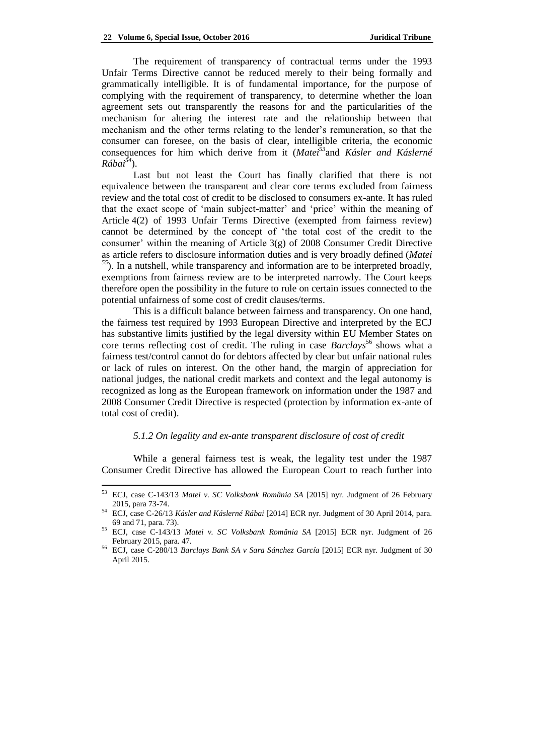The requirement of transparency of contractual terms under the 1993 Unfair Terms Directive cannot be reduced merely to their being formally and grammatically intelligible. It is of fundamental importance, for the purpose of complying with the requirement of transparency, to determine whether the loan agreement sets out transparently the reasons for and the particularities of the mechanism for altering the interest rate and the relationship between that mechanism and the other terms relating to the lender's remuneration, so that the consumer can foresee, on the basis of clear, intelligible criteria, the economic consequences for him which derive from it (*Matei<sup>53</sup>*and *Kásler and Káslerné Rábai<sup>54</sup>*).

Last but not least the Court has finally clarified that there is not equivalence between the transparent and clear core terms excluded from fairness review and the total cost of credit to be disclosed to consumers ex-ante. It has ruled that the exact scope of 'main subject-matter' and 'price' within the meaning of Article 4(2) of 1993 Unfair Terms Directive (exempted from fairness review) cannot be determined by the concept of 'the total cost of the credit to the consumer' within the meaning of Article 3(g) of 2008 Consumer Credit Directive as article refers to disclosure information duties and is very broadly defined (*Matei <sup>55</sup>*). In a nutshell, while transparency and information are to be interpreted broadly, exemptions from fairness review are to be interpreted narrowly. The Court keeps therefore open the possibility in the future to rule on certain issues connected to the potential unfairness of some cost of credit clauses/terms.

This is a difficult balance between fairness and transparency. On one hand, the fairness test required by 1993 European Directive and interpreted by the ECJ has substantive limits justified by the legal diversity within EU Member States on core terms reflecting cost of credit. The ruling in case *Barclays*<sup>56</sup> shows what a fairness test/control cannot do for debtors affected by clear but unfair national rules or lack of rules on interest. On the other hand, the margin of appreciation for national judges, the national credit markets and context and the legal autonomy is recognized as long as the European framework on information under the 1987 and 2008 Consumer Credit Directive is respected (protection by information ex-ante of total cost of credit).

## *5.1.2 On legality and ex-ante transparent disclosure of cost of credit*

While a general fairness test is weak, the legality test under the 1987 Consumer Credit Directive has allowed the European Court to reach further into

<sup>53</sup> ECJ, case C-143/13 *Matei v. SC Volksbank România SA* [2015] nyr. Judgment of 26 February 2015, para 73-74.

<sup>54</sup> ECJ, case C-26/13 *Kásler and Káslerné Rábai* [2014] ECR nyr. Judgment of 30 April 2014, para. 69 and 71, para. 73).

<sup>55</sup> ECJ, case C-143/13 *Matei v. SC Volksbank România SA* [2015] ECR nyr. Judgment of 26 February 2015, para. 47.

<sup>56</sup> ECJ, case C-280/13 *Barclays Bank SA v Sara Sánchez García* [2015] ECR nyr. Judgment of 30 April 2015.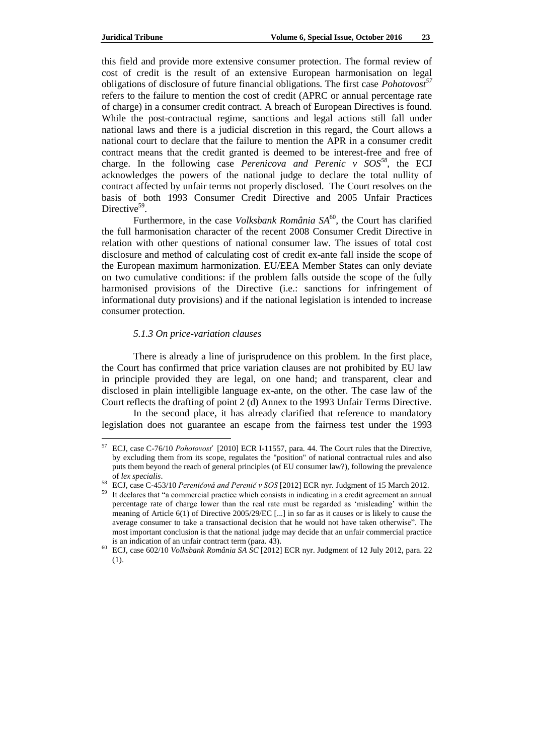this field and provide more extensive consumer protection. The formal review of cost of credit is the result of an extensive European harmonisation on legal obligations of disclosure of future financial obligations. The first case *Pohotovost<sup>57</sup>* refers to the failure to mention the cost of credit (APRC or annual percentage rate of charge) in a consumer credit contract. A breach of European Directives is found. While the post-contractual regime, sanctions and legal actions still fall under national laws and there is a judicial discretion in this regard, the Court allows a national court to declare that the failure to mention the APR in a consumer credit contract means that the credit granted is deemed to be interest-free and free of charge. In the following case *Perenicova and Perenic v SOS<sup>58</sup>*, the ECJ acknowledges the powers of the national judge to declare the total nullity of contract affected by unfair terms not properly disclosed. The Court resolves on the basis of both 1993 Consumer Credit Directive and 2005 Unfair Practices Directive<sup>59</sup>.

Furthermore, in the case *Volksbank România SA*<sup>60</sup>, the Court has clarified the full harmonisation character of the recent 2008 Consumer Credit Directive in relation with other questions of national consumer law. The issues of total cost disclosure and method of calculating cost of credit ex-ante fall inside the scope of the European maximum harmonization. EU/EEA Member States can only deviate on two cumulative conditions: if the problem falls outside the scope of the fully harmonised provisions of the Directive (i.e.: sanctions for infringement of informational duty provisions) and if the national legislation is intended to increase consumer protection.

#### *5.1.3 On price-variation clauses*

There is already a line of jurisprudence on this problem. In the first place, the Court has confirmed that price variation clauses are not prohibited by EU law in principle provided they are legal, on one hand; and transparent, clear and disclosed in plain intelligible language ex-ante, on the other. The case law of the Court reflects the drafting of point 2 (d) Annex to the 1993 Unfair Terms Directive.

In the second place, it has already clarified that reference to mandatory legislation does not guarantee an escape from the fairness test under the 1993

<sup>57</sup> ECJ, case C-76/10 *Pohotovosť* [2010] ECR I-11557, para. 44. The Court rules that the Directive, by excluding them from its scope, regulates the "position" of national contractual rules and also puts them beyond the reach of general principles (of EU consumer law?), following the prevalence of *lex specialis*.

<sup>58</sup> ECJ, case C-453/10 *Pereničová and Perenič v SOS* [2012] ECR nyr. Judgment of 15 March 2012.

<sup>59</sup> It declares that "a commercial practice which consists in indicating in a credit agreement an annual percentage rate of charge lower than the real rate must be regarded as 'misleading' within the meaning of Article 6(1) of Directive 2005/29/EC [...] in so far as it causes or is likely to cause the average consumer to take a transactional decision that he would not have taken otherwise". The most important conclusion is that the national judge may decide that an unfair commercial practice is an indication of an unfair contract term (para. 43).

<sup>60</sup> ECJ, case 602/10 *Volksbank România SA SC* [2012] ECR nyr. Judgment of 12 July 2012, para. 22 (1).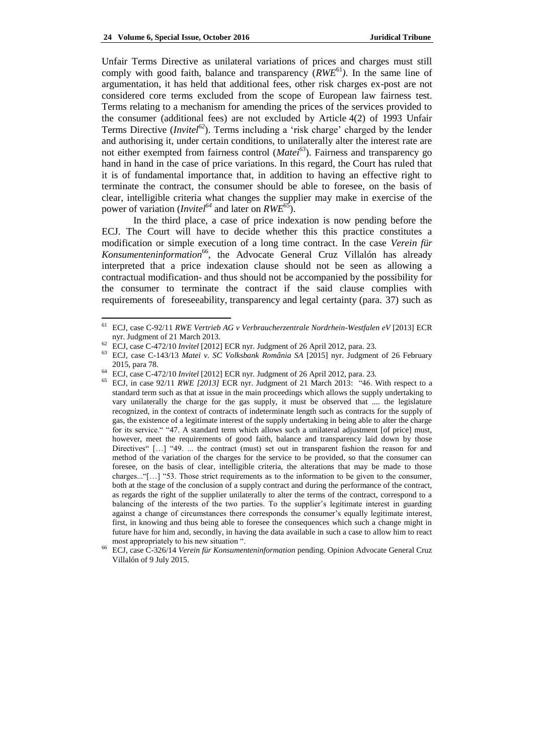Unfair Terms Directive as unilateral variations of prices and charges must still comply with good faith, balance and transparency (*RWE*<sup>61</sup>*)*. In the same line of argumentation, it has held that additional fees, other risk charges ex-post are not considered core terms excluded from the scope of European law fairness test. Terms relating to a mechanism for amending the prices of the services provided to the consumer (additional fees) are not excluded by Article 4(2) of 1993 Unfair Terms Directive (*Invitel*<sup>62</sup>). Terms including a 'risk charge' charged by the lender and authorising it, under certain conditions, to unilaterally alter the interest rate are not either exempted from fairness control (*Matei<sup>63</sup>*). Fairness and transparency go hand in hand in the case of price variations. In this regard, the Court has ruled that it is of fundamental importance that, in addition to having an effective right to terminate the contract, the consumer should be able to foresee, on the basis of clear, intelligible criteria what changes the supplier may make in exercise of the power of variation (*Invitel<sup>64</sup>* and later on *RWE*<sup>65</sup>).

In the third place, a case of price indexation is now pending before the ECJ. The Court will have to decide whether this this practice constitutes a [modification or simple execution of a long time contract. In the case](http://recent-ecl.blogspot.is/2015/07/modification-or-execution-of-contract.html) *Verein für Konsumenteninformation*<sup>66</sup>[, the Advocate General Cruz Villalón has](http://recent-ecl.blogspot.is/2015/07/modification-or-execution-of-contract.html) already interpreted that a price indexation clause should not be seen as allowing a contractual modification- and thus should not be accompanied by the possibility for the consumer to terminate the contract if the said clause complies with requirements of foreseeability, transparency and legal certainty (para. 37) such as

<sup>61</sup> ECJ, case C-92/11 *RWE Vertrieb AG v Verbraucherzentrale Nordrhein-Westfalen eV* [2013] ECR nyr. Judgment of 21 March 2013.

<sup>62</sup> ECJ, case C-472/10 *Invitel* [2012] ECR nyr. Judgment of 26 April 2012, para. 23.

<sup>63</sup> ECJ, case C-143/13 *Matei v. SC Volksbank România SA* [2015] nyr. Judgment of 26 February 2015, para 78.

<sup>64</sup> ECJ, case C-472/10 *Invitel* [2012] ECR nyr. Judgment of 26 April 2012, para. 23.

ECJ, in case 92/11 *RWE [2013]* ECR nyr. Judgment of 21 March 2013: "46. With respect to a standard term such as that at issue in the main proceedings which allows the supply undertaking to vary unilaterally the charge for the gas supply, it must be observed that .... the legislature recognized, in the context of contracts of indeterminate length such as contracts for the supply of gas, the existence of a legitimate interest of the supply undertaking in being able to alter the charge for its service." "47. A standard term which allows such a unilateral adjustment [of price] must, however, meet the requirements of good faith, balance and transparency laid down by those Directives"  $[...]$  "49. ... the contract (must) set out in transparent fashion the reason for and method of the variation of the charges for the service to be provided, so that the consumer can foresee, on the basis of clear, intelligible criteria, the alterations that may be made to those charges..."[…] "53. Those strict requirements as to the information to be given to the consumer, both at the stage of the conclusion of a supply contract and during the performance of the contract, as regards the right of the supplier unilaterally to alter the terms of the contract, correspond to a balancing of the interests of the two parties. To the supplier's legitimate interest in guarding against a change of circumstances there corresponds the consumer's equally legitimate interest, first, in knowing and thus being able to foresee the consequences which such a change might in future have for him and, secondly, in having the data available in such a case to allow him to react most appropriately to his new situation ".

<sup>66</sup> ECJ, case C-326/14 *Verein für Konsumenteninformation* pending. Opinion Advocate General Cruz Villalón of 9 July 2015.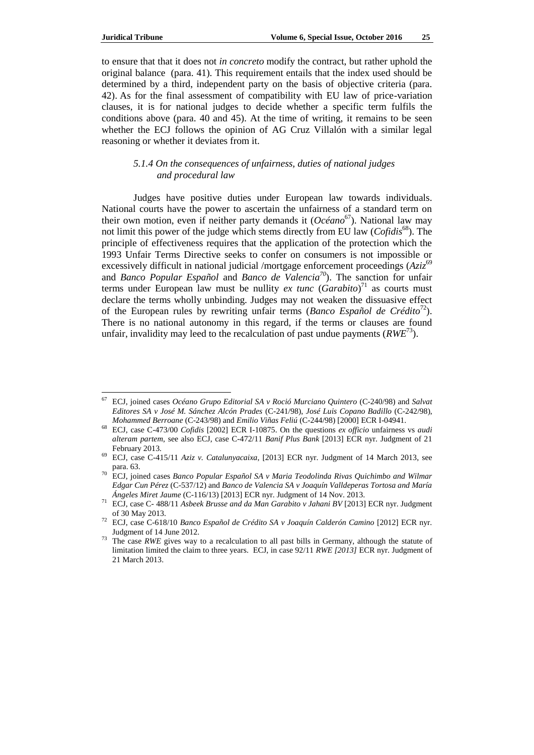to ensure that that it does not *in concreto* modify the contract, but rather uphold the original balance (para. 41). This requirement entails that the index used should be determined by a third, independent party on the basis of objective criteria (para. 42). As for the final assessment of compatibility with EU law of price-variation clauses, it is for national judges to decide whether a specific term fulfils the conditions above (para. 40 and 45). At the time of writing, it remains to be seen whether the ECJ follows the opinion of AG Cruz Villalón with a similar legal reasoning or whether it deviates from it.

## *5.1.4 On the consequences of unfairness, duties of national judges and procedural law*

Judges have positive duties under European law towards individuals. National courts have the power to ascertain the unfairness of a standard term on their own motion, even if neither party demands it (*Océano*<sup>67</sup>). National law may not limit this power of the judge which stems directly from EU law (*Cofidis*<sup>68</sup>). The principle of effectiveness requires that the application of the protection which the 1993 Unfair Terms Directive seeks to confer on consumers is not impossible or excessively difficult in national judicial /mortgage enforcement proceedings (*Aziz*<sup>69</sup>) and *Banco Popular Español* and *Banco de Valencia<sup>70</sup>*). The sanction for unfair terms under European law must be nullity  $ex$  tunc  $(Garabito)^{71}$  as courts must declare the terms wholly unbinding. Judges may not weaken the dissuasive effect of the European rules by rewriting unfair terms (*Banco Español de Crédito*<sup>72</sup>). There is no national autonomy in this regard, if the terms or clauses are found unfair, invalidity may leed to the recalculation of past undue payments (*RWE*<sup>73</sup>).

<sup>67</sup> ECJ, joined cases *Océano Grupo Editorial SA v Roció Murciano Quintero* (C-240/98) and *Salvat Editores SA v José M. Sánchez Alcón Prades* (C-241/98), *José Luis Copano Badillo* (C-242/98), *Mohammed Berroane* (C-243/98) and *Emilio Viñas Feliú* (C-244/98) [2000] ECR I-04941.

<sup>68</sup> ECJ, case C-473/00 *Cofidis* [2002] ECR I-10875. On the questions *ex officio* unfairness vs *audi alteram partem*, see also ECJ, case C-472/11 *Banif Plus Bank* [2013] ECR nyr. Judgment of 21 February 2013.

<sup>69</sup> ECJ, case C-415/11 *Aziz v. Catalunyacaixa*, [2013] ECR nyr. Judgment of 14 March 2013, see para. 63.

<sup>70</sup> ECJ, joined cases *Banco Popular Español SA v Maria Teodolinda Rivas Quichimbo and Wilmar Edgar Cun Pérez* (C-537/12) and *Banco de Valencia SA v Joaquín Valldeperas Tortosa and María Ángeles Miret Jaume* (C-116/13) [2013] ECR nyr. Judgment of 14 Nov. 2013.

<sup>71</sup> ECJ, case C- 488/11 *[Asbeek Brusse and da Man Garabito v Jahani BV](http://curia.europa.eu/juris/document/document.jsf?text=&docid=137830&pageIndex=0&doclang=EN&mode=req&dir=&occ=first&part=1&cid=3825656)* [2013] ECR nyr. Judgment of 30 May 2013.

<sup>72</sup> ECJ, case C-618/10 *Banco Español de Crédito SA v Joaquín Calderón Camino* [2012] ECR nyr. Judgment of 14 June 2012.

<sup>&</sup>lt;sup>73</sup> The case *RWE* gives way to a recalculation to all past bills in Germany, although the statute of limitation limited the claim to three years. ECJ, in case 92/11 *RWE [2013]* ECR nyr. Judgment of 21 March 2013.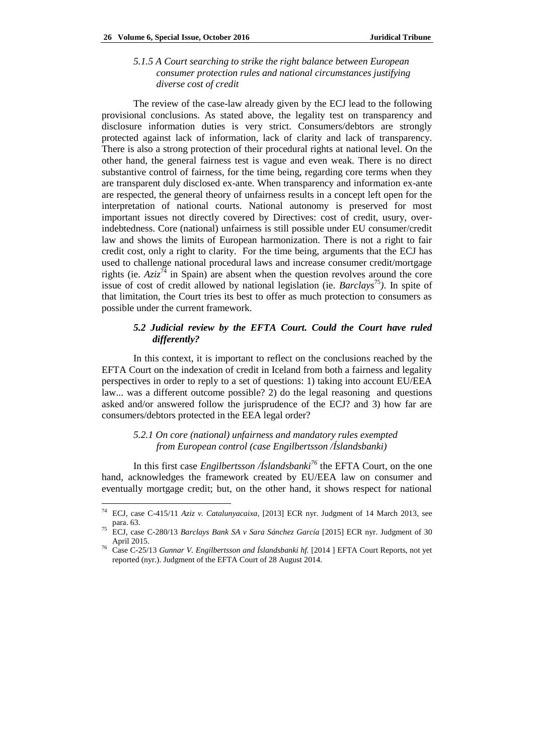*5.1.5 A Court searching to strike the right balance between European consumer protection rules and national circumstances justifying diverse cost of credit*

The review of the case-law already given by the ECJ lead to the following provisional conclusions. As stated above, the legality test on transparency and disclosure information duties is very strict. Consumers/debtors are strongly protected against lack of information, lack of clarity and lack of transparency. There is also a strong protection of their procedural rights at national level. On the other hand, the general fairness test is vague and even weak. There is no direct substantive control of fairness, for the time being, regarding core terms when they are transparent duly disclosed ex-ante. When transparency and information ex-ante are respected, the general theory of unfairness results in a concept left open for the interpretation of national courts. National autonomy is preserved for most important issues not directly covered by Directives: cost of credit, usury, overindebtedness. Core (national) unfairness is still possible under EU consumer/credit law and shows the limits of European harmonization. There is not a right to fair credit cost, only a right to clarity. For the time being, arguments that the ECJ has used to challenge national procedural laws and increase consumer credit/mortgage rights (ie.  $A\overline{z}i\overline{z}^{74}$  in Spain) are absent when the question revolves around the core issue of cost of credit allowed by national legislation (ie. *Barclays*<sup>75</sup>). In spite of that limitation, the Court tries its best to offer as much protection to consumers as possible under the current framework.

# *5.2 Judicial review by the EFTA Court. Could the Court have ruled differently?*

In this context, it is important to reflect on the conclusions reached by the EFTA Court on the indexation of credit in Iceland from both a fairness and legality perspectives in order to reply to a set of questions: 1) taking into account EU/EEA law... was a different outcome possible? 2) do the legal reasoning and questions asked and/or answered follow the jurisprudence of the ECJ? and 3) how far are consumers/debtors protected in the EEA legal order?

# *5.2.1 On core (national) unfairness and mandatory rules exempted from European control (case Engilbertsson /Íslandsbanki)*

In this first case *Engilbertsson /Íslandsbanki<sup>76</sup>* the EFTA Court, on the one hand, acknowledges the framework created by EU/EEA law on consumer and eventually mortgage credit; but, on the other hand, it shows respect for national

<sup>74</sup> ECJ, case C-415/11 *Aziz v. Catalunyacaixa*, [2013] ECR nyr. Judgment of 14 March 2013, see para. 63.

<sup>75</sup> ECJ, case C-280/13 *Barclays Bank SA v Sara Sánchez García* [2015] ECR nyr. Judgment of 30 April 2015.

<sup>76</sup> Case C-25/13 *Gunnar V. Engilbertsson and Íslandsbanki hf.* [2014 ] EFTA Court Reports, not yet reported (nyr.). Judgment of the EFTA Court of 28 August 2014.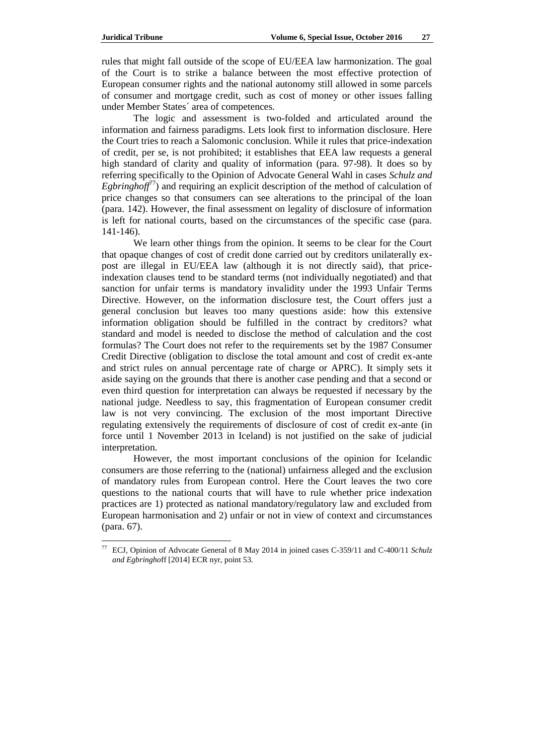rules that might fall outside of the scope of EU/EEA law harmonization. The goal of the Court is to strike a balance between the most effective protection of European consumer rights and the national autonomy still allowed in some parcels of consumer and mortgage credit, such as cost of money or other issues falling under Member States´ area of competences.

The logic and assessment is two-folded and articulated around the information and fairness paradigms. Lets look first to information disclosure. Here the Court tries to reach a Salomonic conclusion. While it rules that price-indexation of credit, per se, is not prohibited; it establishes that EEA law requests a general high standard of clarity and quality of information (para. 97-98). It does so by referring specifically to the Opinion of Advocate General Wahl in cases *Schulz and Egbringhoff*<sup>77</sup>) and requiring an explicit description of the method of calculation of price changes so that consumers can see alterations to the principal of the loan (para. 142). However, the final assessment on legality of disclosure of information is left for national courts, based on the circumstances of the specific case (para. 141-146).

We learn other things from the opinion. It seems to be clear for the Court that opaque changes of cost of credit done carried out by creditors unilaterally expost are illegal in EU/EEA law (although it is not directly said), that priceindexation clauses tend to be standard terms (not individually negotiated) and that sanction for unfair terms is mandatory invalidity under the 1993 Unfair Terms Directive. However, on the information disclosure test, the Court offers just a general conclusion but leaves too many questions aside: how this extensive information obligation should be fulfilled in the contract by creditors? what standard and model is needed to disclose the method of calculation and the cost formulas? The Court does not refer to the requirements set by the 1987 Consumer Credit Directive (obligation to disclose the total amount and cost of credit ex-ante and strict rules on annual percentage rate of charge or APRC). It simply sets it aside saying on the grounds that there is another case pending and that a second or even third question for interpretation can always be requested if necessary by the national judge. Needless to say, this fragmentation of European consumer credit law is not very convincing. The exclusion of the most important Directive regulating extensively the requirements of disclosure of cost of credit ex-ante (in force until 1 November 2013 in Iceland) is not justified on the sake of judicial interpretation.

However, the most important conclusions of the opinion for Icelandic consumers are those referring to the (national) unfairness alleged and the exclusion of mandatory rules from European control. Here the Court leaves the two core questions to the national courts that will have to rule whether price indexation practices are 1) protected as national mandatory/regulatory law and excluded from European harmonisation and 2) unfair or not in view of context and circumstances (para. 67).

<sup>77</sup> ECJ, Opinion of Advocate General of 8 May 2014 in joined cases C-359/11 and C-400/11 *Schulz and Egbringho*ff [2014] ECR nyr, point 53.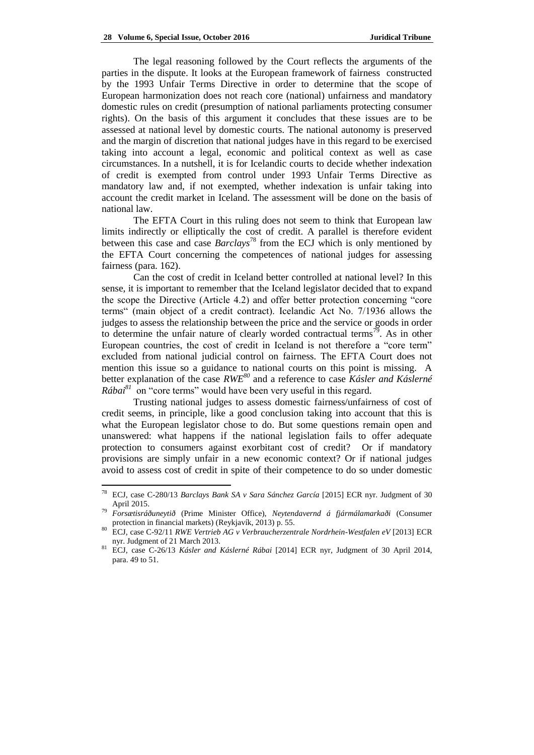The legal reasoning followed by the Court reflects the arguments of the parties in the dispute. It looks at the European framework of fairness constructed by the 1993 Unfair Terms Directive in order to determine that the scope of European harmonization does not reach core (national) unfairness and mandatory domestic rules on credit (presumption of national parliaments protecting consumer rights). On the basis of this argument it concludes that these issues are to be assessed at national level by domestic courts. The national autonomy is preserved and the margin of discretion that national judges have in this regard to be exercised taking into account a legal, economic and political context as well as case circumstances. In a nutshell, it is for Icelandic courts to decide whether indexation of credit is exempted from control under 1993 Unfair Terms Directive as mandatory law and, if not exempted, whether indexation is unfair taking into account the credit market in Iceland. The assessment will be done on the basis of national law.

The EFTA Court in this ruling does not seem to think that European law limits indirectly or elliptically the cost of credit. A parallel is therefore evident between this case and case *Barclays*<sup>78</sup> from the ECJ which is only mentioned by the EFTA Court concerning the competences of national judges for assessing fairness (para. 162).

Can the cost of credit in Iceland better controlled at national level? In this sense, it is important to remember that the Iceland legislator decided that to expand the scope the Directive (Article 4.2) and offer better protection concerning "core terms" (main object of a credit contract). Icelandic Act No. 7/1936 allows the judges to assess the relationship between the price and the service or goods in order to determine the unfair nature of clearly worded contractual terms<sup>79</sup>. As in other European countries, the cost of credit in Iceland is not therefore a "core term" excluded from national judicial control on fairness. The EFTA Court does not mention this issue so a guidance to national courts on this point is missing. A better explanation of the case *RWE<sup>80</sup>* and a reference to case *Kásler and Káslerné Rábai*<sup>81</sup> on "core terms" would have been very useful in this regard.

Trusting national judges to assess domestic fairness/unfairness of cost of credit seems, in principle, like a good conclusion taking into account that this is what the European legislator chose to do. But some questions remain open and unanswered: what happens if the national legislation fails to offer adequate protection to consumers against exorbitant cost of credit? Or if mandatory provisions are simply unfair in a new economic context? Or if national judges avoid to assess cost of credit in spite of their competence to do so under domestic

<sup>78</sup> <sup>78</sup> ECJ, case C-280/13 *Barclays Bank SA v Sara Sánchez García* [2015] ECR nyr. Judgment of 30 April 2015.

<sup>79</sup> *Forsætisráðuneytið* (Prime Minister Office), *Neytendavernd á fjármálamarkaði* (Consumer protection in financial markets) (Reykjavík, 2013) p. 55.

<sup>80</sup> ECJ, case C-92/11 *RWE Vertrieb AG v Verbraucherzentrale Nordrhein-Westfalen eV* [2013] ECR nyr. Judgment of 21 March 2013.

<sup>81</sup> ECJ, case C-26/13 *Kásler and Káslerné Rábai* [2014] ECR nyr, Judgment of 30 April 2014, para. 49 to 51.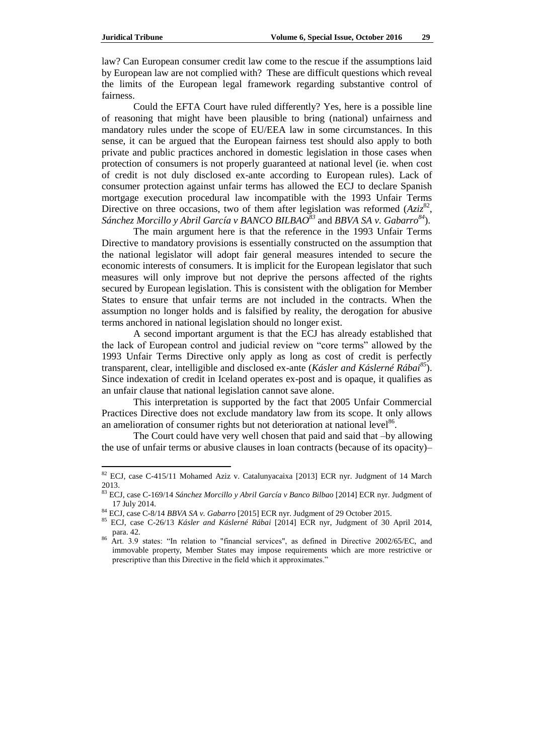law? Can European consumer credit law come to the rescue if the assumptions laid by European law are not complied with? These are difficult questions which reveal the limits of the European legal framework regarding substantive control of fairness.

Could the EFTA Court have ruled differently? Yes, here is a possible line of reasoning that might have been plausible to bring (national) unfairness and mandatory rules under the scope of EU/EEA law in some circumstances. In this sense, it can be argued that the European fairness test should also apply to both private and public practices anchored in domestic legislation in those cases when protection of consumers is not properly guaranteed at national level (ie. when cost of credit is not duly disclosed ex-ante according to European rules). Lack of consumer protection against unfair terms has allowed the ECJ to declare Spanish mortgage execution procedural law incompatible with the 1993 Unfair Terms Directive on three occasions, two of them after legislation was reformed  $(Aziz<sup>82</sup>,$ *Sánchez Morcillo y Abril García v BANCO BILBAO<sup>83</sup>* and *BBVA SA v. Gabarro<sup>84</sup>*).

The main argument here is that the reference in the 1993 Unfair Terms Directive to mandatory provisions is essentially constructed on the assumption that the national legislator will adopt fair general measures intended to secure the economic interests of consumers. It is implicit for the European legislator that such measures will only improve but not deprive the persons affected of the rights secured by European legislation. This is consistent with the obligation for Member States to ensure that unfair terms are not included in the contracts. When the assumption no longer holds and is falsified by reality, the derogation for abusive terms anchored in national legislation should no longer exist.

A second important argument is that the ECJ has already established that the lack of European control and judicial review on "core terms" allowed by the 1993 Unfair Terms Directive only apply as long as cost of credit is perfectly transparent, clear, intelligible and disclosed ex-ante (*Kásler and Káslerné Rábai<sup>85</sup>*). Since indexation of credit in Iceland operates ex-post and is opaque, it qualifies as an unfair clause that national legislation cannot save alone.

This interpretation is supported by the fact that 2005 Unfair Commercial Practices Directive does not exclude mandatory law from its scope. It only allows an amelioration of consumer rights but not deterioration at national level<sup>86</sup>.

The Court could have very well chosen that paid and said that –by allowing the use of unfair terms or abusive clauses in loan contracts (because of its opacity)–

<sup>&</sup>lt;sup>82</sup> ECJ, case C-415/11 Mohamed Aziz v. Catalunyacaixa [2013] ECR nyr. Judgment of 14 March 2013.

<sup>83</sup> ECJ, case C-169/14 *Sánchez Morcillo y Abril García v Banco Bilbao* [2014] ECR nyr. Judgment of 17 July 2014.

<sup>84</sup> ECJ, case C-8/14 *BBVA SA v. Gabarro* [2015] ECR nyr. Judgment of 29 October 2015.

<sup>85</sup> ECJ, case C-26/13 *Kásler and Káslerné Rábai* [2014] ECR nyr, Judgment of 30 April 2014, para. 42.

<sup>86</sup> Art. 3.9 states: "In relation to "financial services", as defined in Directive 2002/65/EC, and immovable property, Member States may impose requirements which are more restrictive or prescriptive than this Directive in the field which it approximates."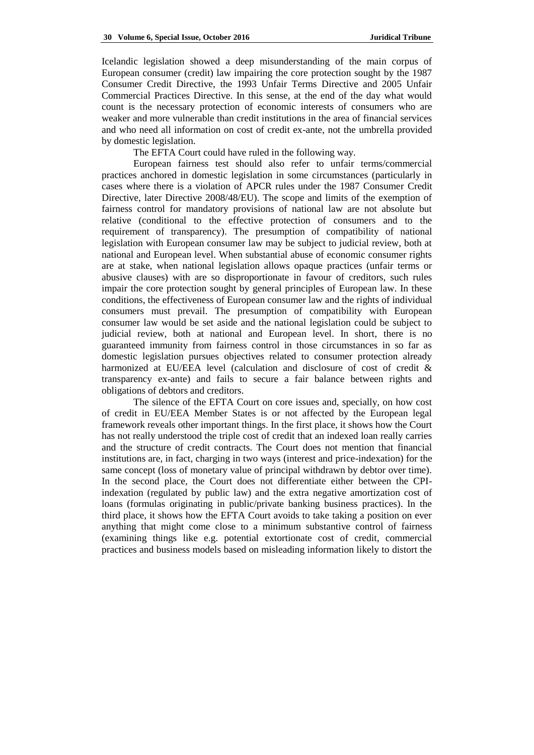Icelandic legislation showed a deep misunderstanding of the main corpus of European consumer (credit) law impairing the core protection sought by the 1987 Consumer Credit Directive, the 1993 Unfair Terms Directive and 2005 Unfair Commercial Practices Directive. In this sense, at the end of the day what would count is the necessary protection of economic interests of consumers who are weaker and more vulnerable than credit institutions in the area of financial services and who need all information on cost of credit ex-ante, not the umbrella provided by domestic legislation.

The EFTA Court could have ruled in the following way.

European fairness test should also refer to unfair terms/commercial practices anchored in domestic legislation in some circumstances (particularly in cases where there is a violation of APCR rules under the 1987 Consumer Credit Directive, later Directive 2008/48/EU). The scope and limits of the exemption of fairness control for mandatory provisions of national law are not absolute but relative (conditional to the effective protection of consumers and to the requirement of transparency). The presumption of compatibility of national legislation with European consumer law may be subject to judicial review, both at national and European level. When substantial abuse of economic consumer rights are at stake, when national legislation allows opaque practices (unfair terms or abusive clauses) with are so disproportionate in favour of creditors, such rules impair the core protection sought by general principles of European law. In these conditions, the effectiveness of European consumer law and the rights of individual consumers must prevail. The presumption of compatibility with European consumer law would be set aside and the national legislation could be subject to judicial review, both at national and European level. In short, there is no guaranteed immunity from fairness control in those circumstances in so far as domestic legislation pursues objectives related to consumer protection already harmonized at EU/EEA level (calculation and disclosure of cost of credit & transparency ex-ante) and fails to secure a fair balance between rights and obligations of debtors and creditors.

The silence of the EFTA Court on core issues and, specially, on how cost of credit in EU/EEA Member States is or not affected by the European legal framework reveals other important things. In the first place, it shows how the Court has not really understood the triple cost of credit that an indexed loan really carries and the structure of credit contracts. The Court does not mention that financial institutions are, in fact, charging in two ways (interest and price-indexation) for the same concept (loss of monetary value of principal withdrawn by debtor over time). In the second place, the Court does not differentiate either between the CPIindexation (regulated by public law) and the extra negative amortization cost of loans (formulas originating in public/private banking business practices). In the third place, it shows how the EFTA Court avoids to take taking a position on ever anything that might come close to a minimum substantive control of fairness (examining things like e.g. potential extortionate cost of credit, commercial practices and business models based on misleading information likely to distort the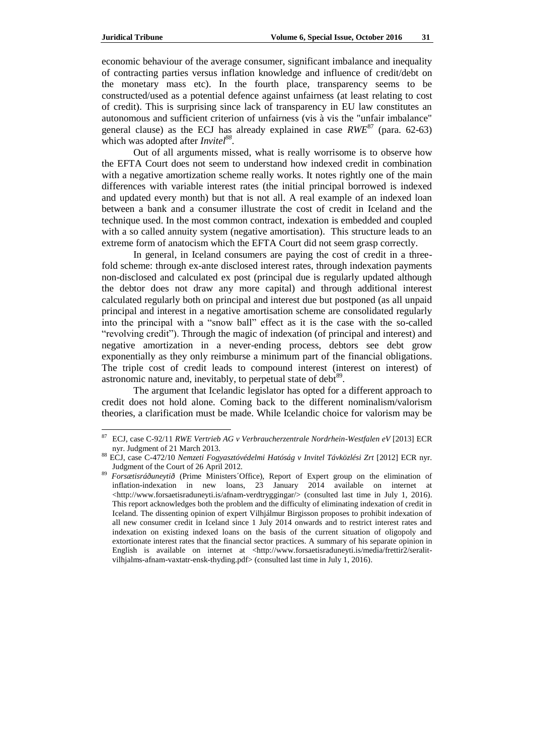economic behaviour of the average consumer, significant imbalance and inequality of contracting parties versus inflation knowledge and influence of credit/debt on the monetary mass etc). In the fourth place, transparency seems to be constructed/used as a potential defence against unfairness (at least relating to cost of credit). This is surprising since lack of transparency in EU law constitutes an autonomous and sufficient criterion of unfairness (vis à vis the "unfair imbalance" general clause) as the ECJ has already explained in case  $RWE^{87}$  (para. 62-63) which was adopted after *Invitel<sup>88</sup>* .

Out of all arguments missed, what is really worrisome is to observe how the EFTA Court does not seem to understand how indexed credit in combination with a negative amortization scheme really works. It notes rightly one of the main differences with variable interest rates (the initial principal borrowed is indexed and updated every month) but that is not all. A real example of an indexed loan between a bank and a consumer illustrate the cost of credit in Iceland and the technique used. In the most common contract, indexation is embedded and coupled with a so called annuity system (negative amortisation). This structure leads to an extreme form of anatocism which the EFTA Court did not seem grasp correctly.

In general, in Iceland consumers are paying the cost of credit in a threefold scheme: through ex-ante disclosed interest rates, through indexation payments non-disclosed and calculated ex post (principal due is regularly updated although the debtor does not draw any more capital) and through additional interest calculated regularly both on principal and interest due but postponed (as all unpaid principal and interest in a negative amortisation scheme are consolidated regularly into the principal with a "snow ball" effect as it is the case with the so-called "revolving credit"). Through the magic of indexation (of principal and interest) and negative amortization in a never-ending process, debtors see debt grow exponentially as they only reimburse a minimum part of the financial obligations. The triple cost of credit leads to compound interest (interest on interest) of astronomic nature and, inevitably, to perpetual state of debt $89$ .

The argument that Icelandic legislator has opted for a different approach to credit does not hold alone. Coming back to the different nominalism/valorism theories, a clarification must be made. While Icelandic choice for valorism may be

<sup>87</sup> ECJ, case C-92/11 *RWE Vertrieb AG v Verbraucherzentrale Nordrhein-Westfalen eV* [2013] ECR nyr. Judgment of 21 March 2013.

<sup>88</sup> ECJ, case C-472/10 *Nemzeti Fogyasztóvédelmi Hatóság v Invitel Távközlési Zrt* [2012] ECR nyr. Judgment of the Court of 26 April 2012.

<sup>89</sup> *Forsætisráðuneytið* (Prime Ministers´Office), Report of Expert group on the elimination of inflation-indexation in new loans, 23 January 2014 available on internet at [<http://www.forsaetisraduneyti.is/afnam-verdtryggingar/>](http://www.forsaetisraduneyti.is/afnam-verdtryggingar/) (consulted last time in July 1, 2016). This report acknowledges both the problem and the difficulty of eliminating indexation of credit in Iceland. The dissenting opinion of expert Vilhjálmur Birgisson proposes to prohibit indexation of all new consumer credit in Iceland since 1 July 2014 onwards and to restrict interest rates and indexation on existing indexed loans on the basis of the current situation of oligopoly and extortionate interest rates that the financial sector practices. A summary of his separate opinion in English is available on internet at [<http://www.forsaetisraduneyti.is/media/frettir2/seralit](http://www.forsaetisraduneyti.is/media/frettir2/seralit-vilhjalms-afnam-vaxtatr-ensk-thyding.pdf)[vilhjalms-afnam-vaxtatr-ensk-thyding.pdf>](http://www.forsaetisraduneyti.is/media/frettir2/seralit-vilhjalms-afnam-vaxtatr-ensk-thyding.pdf) (consulted last time in July 1, 2016).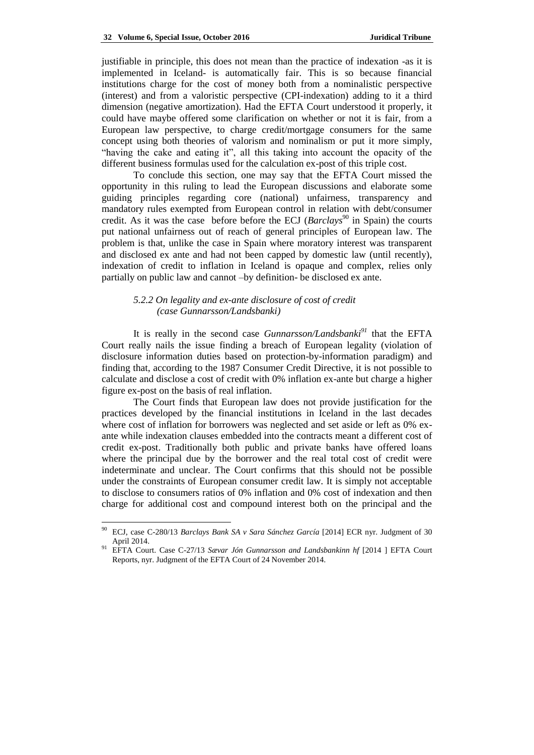justifiable in principle, this does not mean than the practice of indexation -as it is implemented in Iceland- is automatically fair. This is so because financial institutions charge for the cost of money both from a nominalistic perspective (interest) and from a valoristic perspective (CPI-indexation) adding to it a third dimension (negative amortization). Had the EFTA Court understood it properly, it could have maybe offered some clarification on whether or not it is fair, from a European law perspective, to charge credit/mortgage consumers for the same concept using both theories of valorism and nominalism or put it more simply, "having the cake and eating it", all this taking into account the opacity of the different business formulas used for the calculation ex-post of this triple cost.

To conclude this section, one may say that the EFTA Court missed the opportunity in this ruling to lead the European discussions and elaborate some guiding principles regarding core (national) unfairness, transparency and mandatory rules exempted from European control in relation with debt/consumer credit. As it was the case before before the ECJ (*Barclays*<sup>90</sup> in Spain) the courts put national unfairness out of reach of general principles of European law. The problem is that, unlike the case in Spain where moratory interest was transparent and disclosed ex ante and had not been capped by domestic law (until recently), indexation of credit to inflation in Iceland is opaque and complex, relies only partially on public law and cannot –by definition- be disclosed ex ante.

# *5.2.2 On legality and ex-ante disclosure of cost of credit (case Gunnarsson/Landsbanki)*

It is really in the second case *Gunnarsson/Landsbanki<sup>91</sup>* that the EFTA Court really nails the issue finding a breach of European legality (violation of disclosure information duties based on protection-by-information paradigm) and finding that, according to the 1987 Consumer Credit Directive, it is not possible to calculate and disclose a cost of credit with 0% inflation ex-ante but charge a higher figure ex-post on the basis of real inflation.

The Court finds that European law does not provide justification for the practices developed by the financial institutions in Iceland in the last decades where cost of inflation for borrowers was neglected and set aside or left as 0% exante while indexation clauses embedded into the contracts meant a different cost of credit ex-post. Traditionally both public and private banks have offered loans where the principal due by the borrower and the real total cost of credit were indeterminate and unclear. The Court confirms that this should not be possible under the constraints of European consumer credit law. It is simply not acceptable to disclose to consumers ratios of 0% inflation and 0% cost of indexation and then charge for additional cost and compound interest both on the principal and the

 $\overline{\phantom{a}}$ 

<sup>90</sup> ECJ, case C-280/13 *Barclays Bank SA v Sara Sánchez García* [2014] ECR nyr. Judgment of 30 April 2014.

<sup>91</sup> EFTA Court. Case C-27/13 *Sævar Jón Gunnarsson and Landsbankinn hf* [2014 ] EFTA Court Reports, nyr. Judgment of the EFTA Court of 24 November 2014.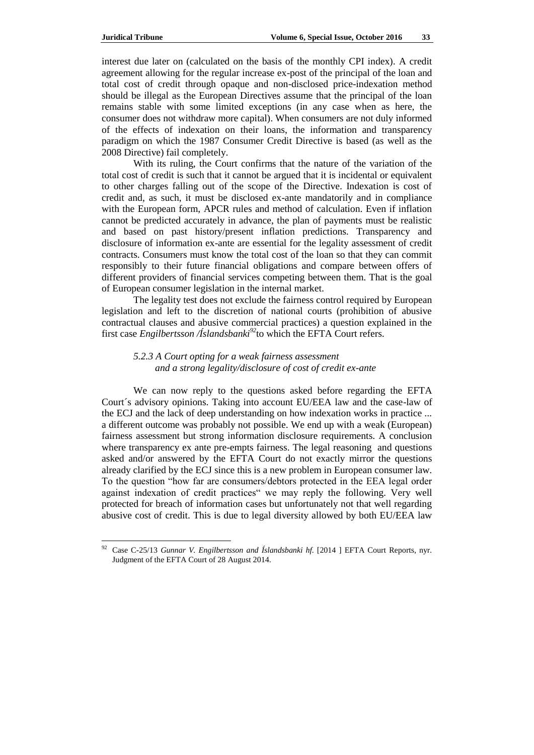interest due later on (calculated on the basis of the monthly CPI index). A credit agreement allowing for the regular increase ex-post of the principal of the loan and total cost of credit through opaque and non-disclosed price-indexation method should be illegal as the European Directives assume that the principal of the loan remains stable with some limited exceptions (in any case when as here, the consumer does not withdraw more capital). When consumers are not duly informed of the effects of indexation on their loans, the information and transparency paradigm on which the 1987 Consumer Credit Directive is based (as well as the 2008 Directive) fail completely.

With its ruling, the Court confirms that the nature of the variation of the total cost of credit is such that it cannot be argued that it is incidental or equivalent to other charges falling out of the scope of the Directive. Indexation is cost of credit and, as such, it must be disclosed ex-ante mandatorily and in compliance with the European form, APCR rules and method of calculation. Even if inflation cannot be predicted accurately in advance, the plan of payments must be realistic and based on past history/present inflation predictions. Transparency and disclosure of information ex-ante are essential for the legality assessment of credit contracts. Consumers must know the total cost of the loan so that they can commit responsibly to their future financial obligations and compare between offers of different providers of financial services competing between them. That is the goal of European consumer legislation in the internal market.

The legality test does not exclude the fairness control required by European legislation and left to the discretion of national courts (prohibition of abusive contractual clauses and abusive commercial practices) a question explained in the first case *Engilbertsson /Íslandsbanki<sup>92</sup>*to which the EFTA Court refers.

## *5.2.3 A Court opting for a weak fairness assessment and a strong legality/disclosure of cost of credit ex-ante*

We can now reply to the questions asked before regarding the EFTA Court´s advisory opinions. Taking into account EU/EEA law and the case-law of the ECJ and the lack of deep understanding on how indexation works in practice ... a different outcome was probably not possible. We end up with a weak (European) fairness assessment but strong information disclosure requirements. A conclusion where transparency ex ante pre-empts fairness. The legal reasoning and questions asked and/or answered by the EFTA Court do not exactly mirror the questions already clarified by the ECJ since this is a new problem in European consumer law. To the question "how far are consumers/debtors protected in the EEA legal order against indexation of credit practices" we may reply the following. Very well protected for breach of information cases but unfortunately not that well regarding abusive cost of credit. This is due to legal diversity allowed by both EU/EEA law

<sup>92</sup> Case C-25/13 *Gunnar V. Engilbertsson and Íslandsbanki hf.* [2014 ] EFTA Court Reports, nyr. Judgment of the EFTA Court of 28 August 2014.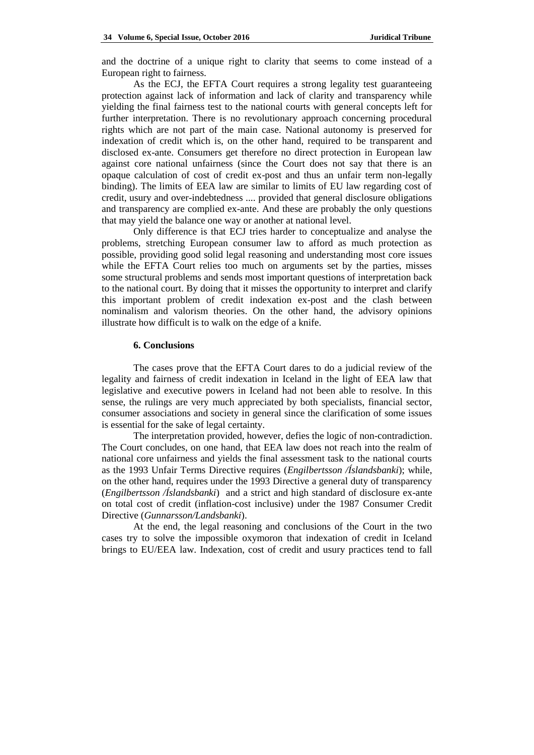and the doctrine of a unique right to clarity that seems to come instead of a European right to fairness.

As the ECJ, the EFTA Court requires a strong legality test guaranteeing protection against lack of information and lack of clarity and transparency while yielding the final fairness test to the national courts with general concepts left for further interpretation. There is no revolutionary approach concerning procedural rights which are not part of the main case. National autonomy is preserved for indexation of credit which is, on the other hand, required to be transparent and disclosed ex-ante. Consumers get therefore no direct protection in European law against core national unfairness (since the Court does not say that there is an opaque calculation of cost of credit ex-post and thus an unfair term non-legally binding). The limits of EEA law are similar to limits of EU law regarding cost of credit, usury and over-indebtedness .... provided that general disclosure obligations and transparency are complied ex-ante. And these are probably the only questions that may yield the balance one way or another at national level.

Only difference is that ECJ tries harder to conceptualize and analyse the problems, stretching European consumer law to afford as much protection as possible, providing good solid legal reasoning and understanding most core issues while the EFTA Court relies too much on arguments set by the parties, misses some structural problems and sends most important questions of interpretation back to the national court. By doing that it misses the opportunity to interpret and clarify this important problem of credit indexation ex-post and the clash between nominalism and valorism theories. On the other hand, the advisory opinions illustrate how difficult is to walk on the edge of a knife.

#### **6. Conclusions**

The cases prove that the EFTA Court dares to do a judicial review of the legality and fairness of credit indexation in Iceland in the light of EEA law that legislative and executive powers in Iceland had not been able to resolve. In this sense, the rulings are very much appreciated by both specialists, financial sector, consumer associations and society in general since the clarification of some issues is essential for the sake of legal certainty.

The interpretation provided, however, defies the logic of non-contradiction. The Court concludes, on one hand, that EEA law does not reach into the realm of national core unfairness and yields the final assessment task to the national courts as the 1993 Unfair Terms Directive requires (*Engilbertsson /Íslandsbanki*); while, on the other hand, requires under the 1993 Directive a general duty of transparency (*Engilbertsson /Íslandsbanki*) and a strict and high standard of disclosure ex-ante on total cost of credit (inflation-cost inclusive) under the 1987 Consumer Credit Directive (*Gunnarsson/Landsbanki*).

At the end, the legal reasoning and conclusions of the Court in the two cases try to solve the impossible oxymoron that indexation of credit in Iceland brings to EU/EEA law. Indexation, cost of credit and usury practices tend to fall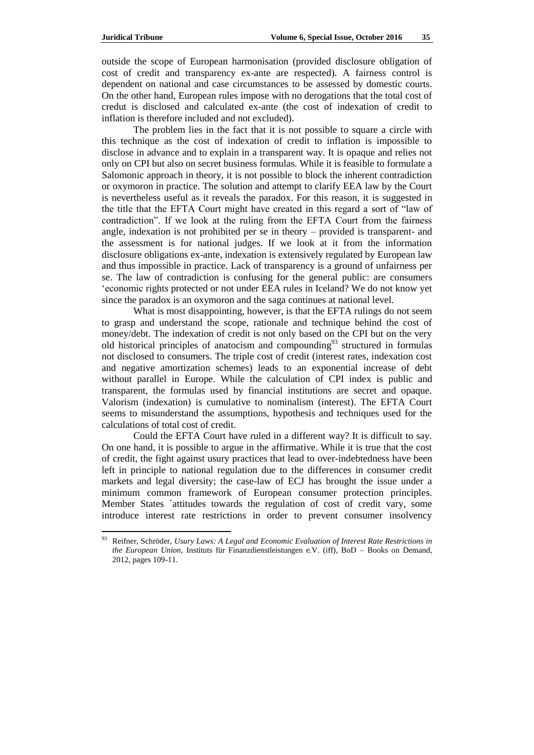outside the scope of European harmonisation (provided disclosure obligation of cost of credit and transparency ex-ante are respected). A fairness control is dependent on national and case circumstances to be assessed by domestic courts. On the other hand, European rules impose with no derogations that the total cost of credut is disclosed and calculated ex-ante (the cost of indexation of credit to inflation is therefore included and not excluded).

The problem lies in the fact that it is not possible to square a circle with this technique as the cost of indexation of credit to inflation is impossible to disclose in advance and to explain in a transparent way. It is opaque and relies not only on CPI but also on secret business formulas. While it is feasible to formulate a Salomonic approach in theory, it is not possible to block the inherent contradiction or oxymoron in practice. The solution and attempt to clarify EEA law by the Court is nevertheless useful as it reveals the paradox. For this reason, it is suggested in the title that the EFTA Court might have created in this regard a sort of "law of contradiction". If we look at the ruling from the EFTA Court from the fairness angle, indexation is not prohibited per se in theory – provided is transparent- and the assessment is for national judges. If we look at it from the information disclosure obligations ex-ante, indexation is extensively regulated by European law and thus impossible in practice. Lack of transparency is a ground of unfairness per se. The law of contradiction is confusing for the general public: are consumers ‗economic rights protected or not under EEA rules in Iceland? We do not know yet since the paradox is an oxymoron and the saga continues at national level.

What is most disappointing, however, is that the EFTA rulings do not seem to grasp and understand the scope, rationale and technique behind the cost of money/debt. The indexation of credit is not only based on the CPI but on the very old historical principles of anatocism and compounding $93$  structured in formulas not disclosed to consumers. The triple cost of credit (interest rates, indexation cost and negative amortization schemes) leads to an exponential increase of debt without parallel in Europe. While the calculation of CPI index is public and transparent, the formulas used by financial institutions are secret and opaque. Valorism (indexation) is cumulative to nominalism (interest). The EFTA Court seems to misunderstand the assumptions, hypothesis and techniques used for the calculations of total cost of credit.

Could the EFTA Court have ruled in a different way? It is difficult to say. On one hand, it is possible to argue in the affirmative. While it is true that the cost of credit, the fight against usury practices that lead to over-indebtedness have been left in principle to national regulation due to the differences in consumer credit markets and legal diversity; the case-law of ECJ has brought the issue under a minimum common framework of European consumer protection principles. Member States ´attitudes towards the regulation of cost of credit vary, some introduce interest rate restrictions in order to prevent consumer insolvency

<sup>93</sup> Reifner, Schröder, *Usury Laws: A Legal and Economic Evaluation of Interest Rate Restrictions in the European Union*, Instituts für Finanzdienstleistungen e.V. (iff), BoD – Books on Demand, 2012, pages 109-11.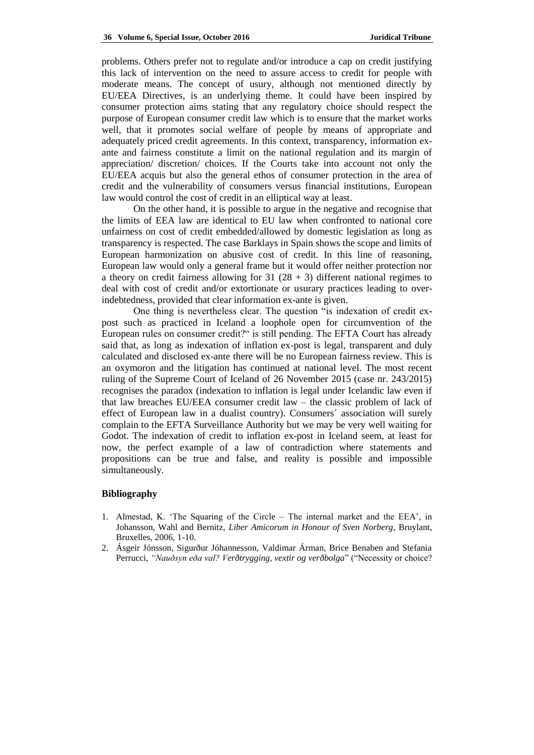problems. Others prefer not to regulate and/or introduce a cap on credit justifying this lack of intervention on the need to assure access to credit for people with moderate means. The concept of usury, although not mentioned directly by EU/EEA Directives, is an underlying theme. It could have been inspired by consumer protection aims stating that any regulatory choice should respect the purpose of European consumer credit law which is to ensure that the market works well, that it promotes social welfare of people by means of appropriate and adequately priced credit agreements. In this context, transparency, information exante and fairness constitute a limit on the national regulation and its margin of appreciation/ discretion/ choices. If the Courts take into account not only the EU/EEA acquis but also the general ethos of consumer protection in the area of credit and the vulnerability of consumers versus financial institutions, European law would control the cost of credit in an elliptical way at least.

On the other hand, it is possible to argue in the negative and recognise that the limits of EEA law are identical to EU law when confronted to national core unfairness on cost of credit embedded/allowed by domestic legislation as long as transparency is respected. The case Barklays in Spain shows the scope and limits of European harmonization on abusive cost of credit. In this line of reasoning, European law would only a general frame but it would offer neither protection nor a theory on credit fairness allowing for  $31 (28 + 3)$  different national regimes to deal with cost of credit and/or extortionate or usurary practices leading to overindebtedness, provided that clear information ex-ante is given.

One thing is nevertheless clear. The question "is indexation of credit expost such as practiced in Iceland a loophole open for circumvention of the European rules on consumer credit?" is still pending. The EFTA Court has already said that, as long as indexation of inflation ex-post is legal, transparent and duly calculated and disclosed ex-ante there will be no European fairness review. This is an oxymoron and the litigation has continued at national level. The most recent ruling of the Supreme Court of Iceland of 26 November 2015 (case nr. 243/2015) recognises the paradox (indexation to inflation is legal under Icelandic law even if that law breaches EU/EEA consumer credit law – the classic problem of lack of effect of European law in a dualist country). Consumers´ association will surely complain to the EFTA Surveillance Authority but we may be very well waiting for Godot. The indexation of credit to inflation ex-post in Iceland seem, at least for now, the perfect example of a law of contradiction where statements and propositions can be true and false, and reality is possible and impossible simultaneously.

#### **Bibliography**

- 1. Almestad, K. ‗The Squaring of the Circle The internal market and the EEA', in Johansson, Wahl and Bernitz, *Liber Amicorum in Honour of Sven Norberg*, Bruylant, Bruxelles, 2006, 1-10.
- 2. Ásgeir Jónsson, Sigurður Jóhannesson, Valdimar Árman, Brice Benaben and Stefania Perrucci, "Nauðsyn eða val? Verðtrygging, vextir og verðbolga" ("Necessity or choice?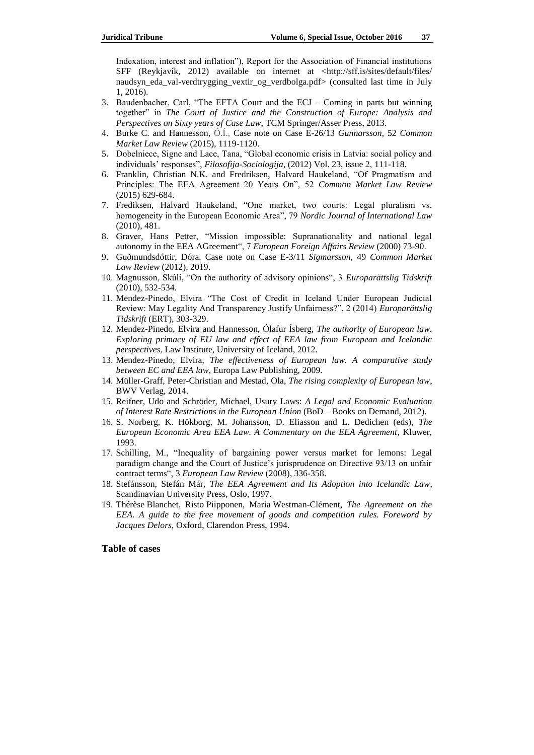Indexation, interest and inflation"), Report for the Association of Financial institutions SFF (Reykjavík, 2012) available on internet at <http://sff.is/sites/default/files/ naudsyn\_eda\_val-verdtrygging\_vextir\_og\_verdbolga.pdf> (consulted last time in July 1, 2016).

- 3. Baudenbacher, Carl, "The EFTA Court and the  $ECJ Coming$  in parts but winning together" in *The Court of Justice and the Construction of Europe: Analysis and Perspectives on Sixty years of Case Law*, TCM Springer/Asser Press, 2013.
- 4. Burke C. and Hannesson, Ó.Í., Case note on Case E-26/13 *Gunnarsson*, 52 *Common Market Law Review* (2015), 1119-1120.
- 5. Dobelniece, Signe and Lace, Tana, "Global economic crisis in Latvia: social policy and individuals' responses", *Filosofija-Sociologija*, (2012) Vol. 23, issue 2, 111-118.
- 6. Franklin, Christian N.K. and Fredriksen, Halvard Haukeland, "Of Pragmatism and Principles: The EEA Agreement 20 Years On", 52 *Common Market Law Review* (2015) 629-684.
- 7. Frediksen, Halvard Haukeland, "One market, two courts: Legal pluralism vs. homogeneity in the European Economic Area<sup>"</sup>, 79 *Nordic Journal of International Law* (2010), 481.
- 8. Graver, Hans Petter, "Mission impossible: Supranationality and national legal autonomy in the EEA AGreement", 7 *European Foreign Affairs Review* (2000) 73-90.
- 9. Guðmundsdóttir, Dóra, Case note on Case E-3/11 *Sigmarsson*, 49 *Common Market Law Review* (2012), 2019.
- 10. Magnusson, Skúli, "On the authority of advisory opinions", 3 *Europarättslig Tidskrift* (2010), 532-534.
- 11. Mendez-Pinedo, Elvira "The Cost of Credit in Iceland Under European Judicial Review: May Legality And Transparency Justify Unfairness?", 2 (2014) *Europarättslig Tidskrift* (ERT), 303-329.
- 12. Mendez-Pinedo, Elvira and Hannesson, Ólafur Ísberg, *The authority of European law. Exploring primacy of EU law and effect of EEA law from European and Icelandic perspectives*, Law Institute, University of Iceland, 2012.
- 13. Mendez-Pinedo, Elvira, *The effectiveness of European law. A comparative study between EC and EEA law*, Europa Law Publishing, 2009.
- 14. Müller-Graff, Peter-Christian and Mestad, Ola, *The rising complexity of European law*, BWV Verlag, 2014.
- 15. Reifner, Udo and Schröder, Michael, Usury Laws: *A Legal and Economic Evaluation of Interest Rate Restrictions in the European Union* (BoD – Books on Demand, 2012).
- 16. S. Norberg, K. Hökborg, M. Johansson, D. Eliasson and L. Dedichen (eds), *The European Economic Area EEA Law. A Commentary on the EEA Agreement*, Kluwer, 1993.
- 17. Schilling, M., "Inequality of bargaining power versus market for lemons: Legal paradigm change and the Court of Justice's jurisprudence on Directive 93/13 on unfair contract terms―, 3 *European Law Review* (2008), 336-358.
- 18. Stefánsson, Stefán Már, *The EEA Agreement and Its Adoption into Icelandic Law*, Scandinavian University Press, Oslo, 1997.
- 19. Thérèse Blanchet, Risto Piipponen, Maria Westman-Clément, *The Agreement on the EEA. A guide to the free movement of goods and competition rules. Foreword by Jacques Delors*, Oxford, Clarendon Press, 1994.

## **Table of cases**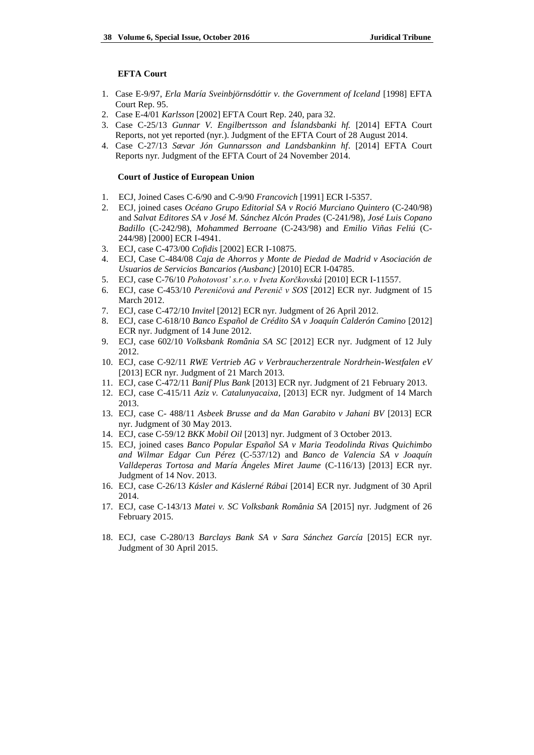#### **EFTA Court**

- 1. Case E-9/97, *Erla María Sveinbjörnsdóttir v. the Government of Iceland* [1998] EFTA Court Rep. 95.
- 2. Case E-4/01 *Karlsson* [2002] EFTA Court Rep. 240, para 32.
- 3. Case C-25/13 *Gunnar V. Engilbertsson and Íslandsbanki hf.* [2014] EFTA Court Reports, not yet reported (nyr.). Judgment of the EFTA Court of 28 August 2014.
- 4. Case C-27/13 *Sævar Jón Gunnarsson and Landsbankinn hf*. [2014] EFTA Court Reports nyr. Judgment of the EFTA Court of 24 November 2014.

#### **Court of Justice of European Union**

- 1. ECJ, Joined Cases C-6/90 and C-9/90 *Francovich* [1991] ECR I-5357.
- 2. ECJ, joined cases *Océano Grupo Editorial SA v Roció Murciano Quintero* (C-240/98) and *Salvat Editores SA v José M. Sánchez Alcón Prades* (C-241/98), *José Luis Copano Badillo* (C-242/98), *Mohammed Berroane* (C-243/98) and *Emilio Viñas Feliú* (C-244/98) [2000] ECR I-4941.
- 3. ECJ, case C-473/00 *Cofidis* [2002] ECR I-10875.
- 4. ECJ, Case C-484/08 *Caja de Ahorros y Monte de Piedad de Madrid v Asociación de Usuarios de Servicios Bancarios (Ausbanc)* [2010] ECR I-04785.
- 5. ECJ, case C-76/10 *Pohotovost' s.r.o. v Iveta Korčkovská* [2010] ECR I-11557.
- 6. ECJ, case C-453/10 *Pereničová and Perenič v SOS* [2012] ECR nyr. Judgment of 15 March 2012.
- 7. ECJ, case C-472/10 *Invitel* [2012] ECR nyr. Judgment of 26 April 2012.
- 8. ECJ, case C-618/10 *Banco Español de Crédito SA v Joaquín Calderón Camino* [2012] ECR nyr. Judgment of 14 June 2012.
- 9. ECJ, case 602/10 *Volksbank România SA SC* [2012] ECR nyr. Judgment of 12 July 2012.
- 10. ECJ, case C-92/11 *RWE Vertrieb AG v Verbraucherzentrale Nordrhein-Westfalen eV* [2013] ECR nyr. Judgment of 21 March 2013.
- 11. ECJ, case C-472/11 *Banif Plus Bank* [2013] ECR nyr. Judgment of 21 February 2013.
- 12. ECJ, case C-415/11 *Aziz v. Catalunyacaixa*, [2013] ECR nyr. Judgment of 14 March 2013.
- 13. ECJ, case C- 488/11 *[Asbeek Brusse and da Man Garabito v Jahani BV](http://curia.europa.eu/juris/document/document.jsf?text=&docid=137830&pageIndex=0&doclang=EN&mode=req&dir=&occ=first&part=1&cid=3825656)* [2013] ECR nyr. Judgment of 30 May 2013.
- 14. ECJ, case C-59/12 *BKK Mobil Oil* [2013] nyr. Judgment of 3 October 2013.
- 15. ECJ, joined cases *Banco Popular Español SA v Maria Teodolinda Rivas Quichimbo and Wilmar Edgar Cun Pérez* (C-537/12) and *Banco de Valencia SA v Joaquín Valldeperas Tortosa and María Ángeles Miret Jaume* (C-116/13) [2013] ECR nyr. Judgment of 14 Nov. 2013.
- 16. ECJ, case C-26/13 *Kásler and Káslerné Rábai* [2014] ECR nyr. Judgment of 30 April 2014.
- 17. ECJ, case C-143/13 *Matei v. SC Volksbank România SA* [2015] nyr. Judgment of 26 February 2015.
- 18. ECJ, case C-280/13 *Barclays Bank SA v Sara Sánchez García* [2015] ECR nyr. Judgment of 30 April 2015.